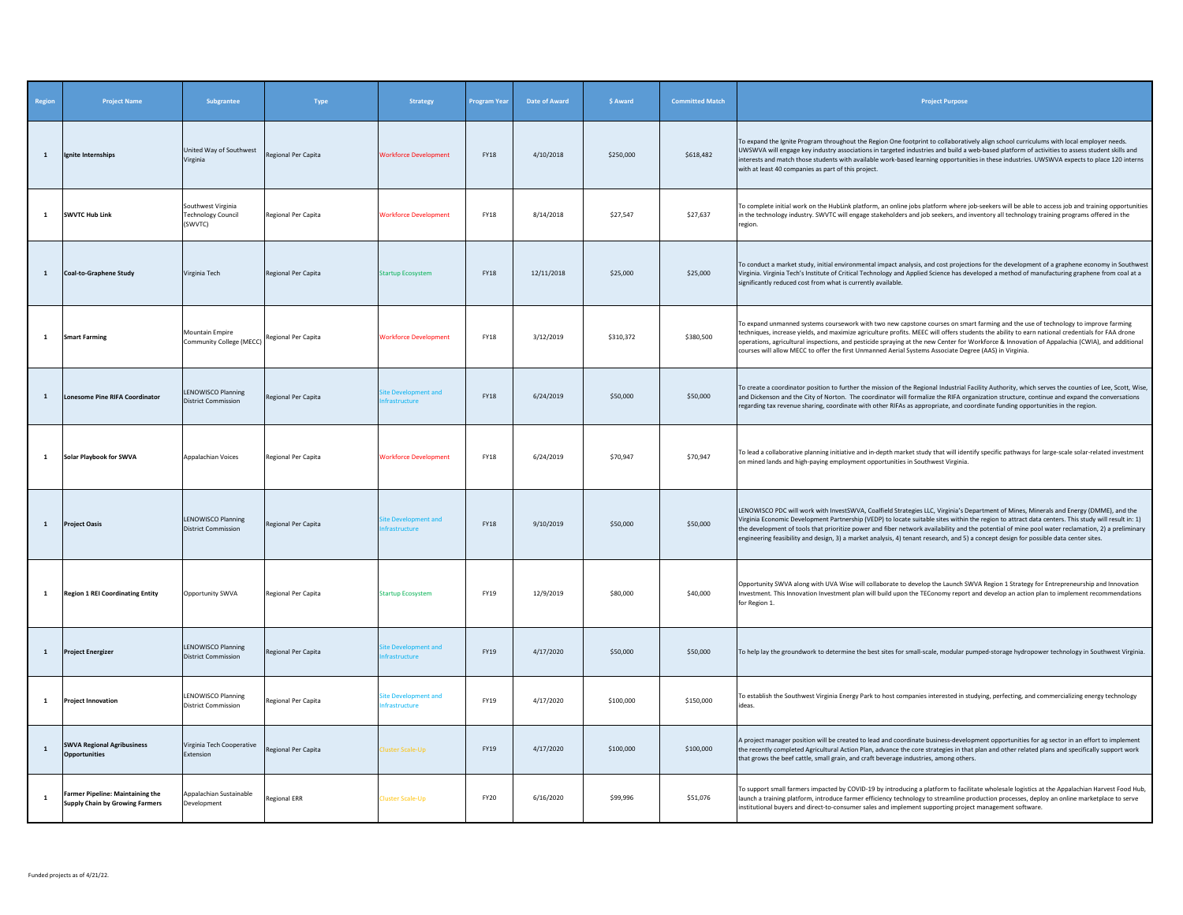| Region       | <b>Project Name</b>                                                 | Subgrantee                                                 | Type                | <b>Strategy</b>                                     | Program Year | <b>Date of Award</b> | \$ Award  | <b>Committed Match</b> | <b>Project Purpose</b>                                                                                                                                                                                                                                                                                                                                                                                                                                                                                                                                                                    |
|--------------|---------------------------------------------------------------------|------------------------------------------------------------|---------------------|-----------------------------------------------------|--------------|----------------------|-----------|------------------------|-------------------------------------------------------------------------------------------------------------------------------------------------------------------------------------------------------------------------------------------------------------------------------------------------------------------------------------------------------------------------------------------------------------------------------------------------------------------------------------------------------------------------------------------------------------------------------------------|
| $\mathbf{1}$ | Ignite Internships                                                  | United Way of Southwest<br>Virginia                        | Regional Per Capita | <b>Workforce Development</b>                        | <b>FY18</b>  | 4/10/2018            | \$250,000 | \$618,482              | To expand the Ignite Program throughout the Region One footprint to collaboratively align school curriculums with local employer needs.<br>UWSWVA will engage key industry associations in targeted industries and build a web-based platform of activities to assess student skills and<br>interests and match those students with available work-based learning opportunities in these industries. UWSWVA expects to place 120 interns<br>with at least 40 companies as part of this project.                                                                                           |
| 1            | <b>SWVTC Hub Link</b>                                               | Southwest Virginia<br><b>Technology Council</b><br>(SWVTC) | Regional Per Capita | <b>Workforce Development</b>                        | <b>FY18</b>  | 8/14/2018            | \$27,547  | \$27,637               | To complete initial work on the HubLink platform, an online jobs platform where job-seekers will be able to access job and training opportunities<br>in the technology industry. SWVTC will engage stakeholders and job seekers, and inventory all technology training programs offered in the<br>region.                                                                                                                                                                                                                                                                                 |
| $\mathbf{1}$ | <b>Coal-to-Graphene Study</b>                                       | Virginia Tech                                              | Regional Per Capita | <b>Startup Ecosystem</b>                            | <b>FY18</b>  | 12/11/2018           | \$25,000  | \$25,000               | To conduct a market study, initial environmental impact analysis, and cost projections for the development of a graphene economy in Southwest<br>Virginia. Virginia Tech's Institute of Critical Technology and Applied Science has developed a method of manufacturing graphene from coal at a<br>significantly reduced cost from what is currently available.                                                                                                                                                                                                                           |
| $\mathbf{1}$ | <b>Smart Farming</b>                                                | Mountain Empire<br>Community College (MECC)                | Regional Per Capita | <b>Workforce Development</b>                        | <b>FY18</b>  | 3/12/2019            | \$310,372 | \$380,500              | To expand unmanned systems coursework with two new capstone courses on smart farming and the use of technology to improve farming<br>techniques, increase yields, and maximize agriculture profits. MEEC will offers students the ability to earn national credentials for FAA drone<br>operations, agricultural inspections, and pesticide spraying at the new Center for Workforce & Innovation of Appalachia (CWIA), and additional<br>courses will allow MECC to offer the first Unmanned Aerial Systems Associate Degree (AAS) in Virginia.                                          |
| <sup>1</sup> | <b>Lonesome Pine RIFA Coordinator</b>                               | <b>LENOWISCO Planning</b><br>District Commission           | Regional Per Capita | ite Development and<br>frastructure                 | <b>FY18</b>  | 6/24/2019            | \$50,000  | \$50,000               | To create a coordinator position to further the mission of the Regional Industrial Facility Authority, which serves the counties of Lee, Scott, Wise,<br>and Dickenson and the City of Norton. The coordinator will formalize the RIFA organization structure, continue and expand the conversations<br>regarding tax revenue sharing, coordinate with other RIFAs as appropriate, and coordinate funding opportunities in the region.                                                                                                                                                    |
| <sup>1</sup> | Solar Playbook for SWVA                                             | Appalachian Voices                                         | Regional Per Capita | <b>Workforce Development</b>                        | <b>FY18</b>  | 6/24/2019            | \$70,947  | \$70,947               | To lead a collaborative planning initiative and in-depth market study that will identify specific pathways for large-scale solar-related investment<br>on mined lands and high-paying employment opportunities in Southwest Virginia.                                                                                                                                                                                                                                                                                                                                                     |
| <sup>1</sup> | <b>Project Oasis</b>                                                | <b>LENOWISCO Planning</b><br>District Commission           | Regional Per Capita | lite Development and<br><b>nfrastructure</b>        | <b>FY18</b>  | 9/10/2019            | \$50,000  | \$50,000               | LENOWISCO PDC will work with InvestSWVA, Coalfield Strategies LLC, Virginia's Department of Mines, Minerals and Energy (DMME), and the<br>Virginia Economic Development Partnership (VEDP) to locate suitable sites within the region to attract data centers. This study will result in: 1)<br>the development of tools that prioritize power and fiber network availability and the potential of mine pool water reclamation, 2) a preliminary<br>engineering feasibility and design, 3) a market analysis, 4) tenant research, and 5) a concept design for possible data center sites. |
| 1            | <b>Region 1 REI Coordinating Entity</b>                             | Opportunity SWVA                                           | Regional Per Capita | <b>Startup Ecosystem</b>                            | FY19         | 12/9/2019            | \$80,000  | \$40,000               | Opportunity SWVA along with UVA Wise will collaborate to develop the Launch SWVA Region 1 Strategy for Entrepreneurship and Innovation<br>Investment. This Innovation Investment plan will build upon the TEConomy report and develop an action plan to implement recommendations<br>for Region 1.                                                                                                                                                                                                                                                                                        |
| <sup>1</sup> | <b>Project Energizer</b>                                            | LENOWISCO Planning<br><b>District Commission</b>           | Regional Per Capita | <b>Site Development and</b><br><b>nfrastructure</b> | FY19         | 4/17/2020            | \$50,000  | \$50,000               | To help lay the groundwork to determine the best sites for small-scale, modular pumped-storage hydropower technology in Southwest Virginia.                                                                                                                                                                                                                                                                                                                                                                                                                                               |
| <sup>1</sup> | <b>Project Innovation</b>                                           | LENOWISCO Planning<br><b>District Commission</b>           | Regional Per Capita | site Development and<br><i><b>frastructure</b></i>  | FY19         | 4/17/2020            | \$100,000 | \$150,000              | To establish the Southwest Virginia Energy Park to host companies interested in studying, perfecting, and commercializing energy technology<br>ideas.                                                                                                                                                                                                                                                                                                                                                                                                                                     |
| $\mathbf{1}$ | <b>SWVA Regional Agribusiness</b><br><b>Opportunities</b>           | Virginia Tech Cooperative<br>Extension                     | Regional Per Capita | luster Scale-Up                                     | FY19         | 4/17/2020            | \$100,000 | \$100,000              | A project manager position will be created to lead and coordinate business-development opportunities for ag sector in an effort to implement<br>the recently completed Agricultural Action Plan, advance the core strategies in that plan and other related plans and specifically support work<br>that grows the beef cattle, small grain, and craft beverage industries, among others.                                                                                                                                                                                                  |
| $\mathbf{1}$ | Farmer Pipeline: Maintaining the<br>Supply Chain by Growing Farmers | Appalachian Sustainable<br>Development                     | Regional ERR        | <b>Cluster Scale-Up</b>                             | <b>FY20</b>  | 6/16/2020            | \$99,996  | \$51.076               | To support small farmers impacted by COVID-19 by introducing a platform to facilitate wholesale logistics at the Appalachian Harvest Food Hub,<br>launch a training platform, introduce farmer efficiency technology to streamline production processes, deploy an online marketplace to serve<br>institutional buyers and direct-to-consumer sales and implement supporting project management software.                                                                                                                                                                                 |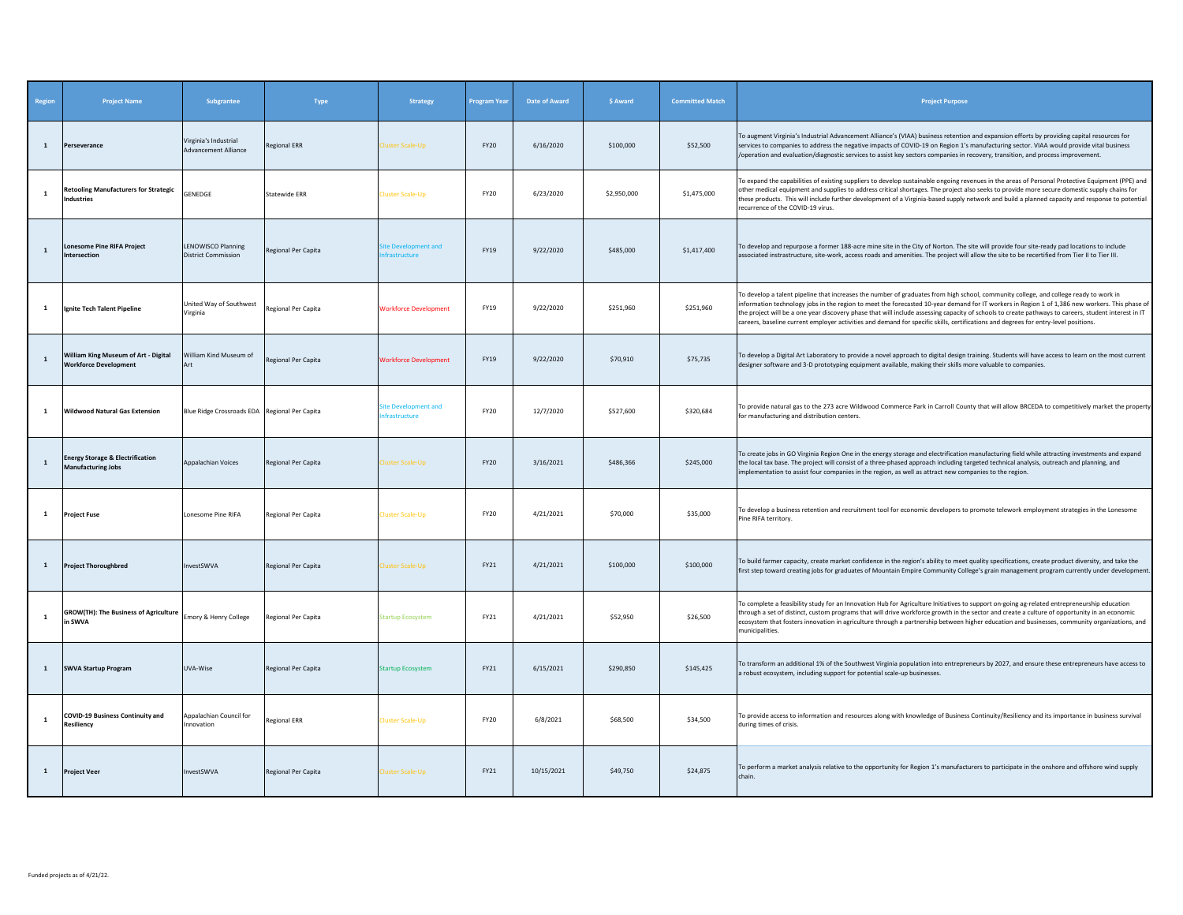| Region       | <b>Project Name</b>                                                      | Subgrantee                                           | Type                 | <b>Strategy</b>                             | Program Year | Date of Award | \$ Award    | <b>Committed Match</b> | <b>Project Purpose</b>                                                                                                                                                                                                                                                                                                                                                                                                                                                                                                                                                                 |
|--------------|--------------------------------------------------------------------------|------------------------------------------------------|----------------------|---------------------------------------------|--------------|---------------|-------------|------------------------|----------------------------------------------------------------------------------------------------------------------------------------------------------------------------------------------------------------------------------------------------------------------------------------------------------------------------------------------------------------------------------------------------------------------------------------------------------------------------------------------------------------------------------------------------------------------------------------|
| $\mathbf{1}$ | Perseverance                                                             | Virginia's Industrial<br><b>Advancement Alliance</b> | <b>Regional ERR</b>  | luster Scale-Up                             | FY20         | 6/16/2020     | \$100,000   | \$52,500               | To augment Virginia's Industrial Advancement Alliance's (VIAA) business retention and expansion efforts by providing capital resources for<br>services to companies to address the negative impacts of COVID-19 on Region 1's manufacturing sector. VIAA would provide vital business<br>/operation and evaluation/diagnostic services to assist key sectors companies in recovery, transition, and process improvement.                                                                                                                                                               |
| $\mathbf{1}$ | <b>Retooling Manufacturers for Strategic</b><br>ndustries                | GENEDGE                                              | <b>Statewide ERR</b> | luster Scale-Up                             | <b>FY20</b>  | 6/23/2020     | \$2,950,000 | \$1,475,000            | To expand the capabilities of existing suppliers to develop sustainable ongoing revenues in the areas of Personal Protective Equipment (PPE) and<br>other medical equipment and supplies to address critical shortages. The project also seeks to provide more secure domestic supply chains for<br>these products. This will include further development of a Virginia-based supply network and build a planned capacity and response to potential<br>recurrence of the COVID-19 virus.                                                                                               |
| $\mathbf{1}$ | onesome Pine RIFA Project<br>ntersectior                                 | LENOWISCO Planning<br><b>District Commission</b>     | Regional Per Capita  | te Development and<br>frastructure          | FY19         | 9/22/2020     | \$485,000   | \$1,417,400            | To develop and repurpose a former 188-acre mine site in the City of Norton. The site will provide four site-ready pad locations to include<br>associated instrastructure, site-work, access roads and amenities. The project will allow the site to be recertified from Tier II to Tier III.                                                                                                                                                                                                                                                                                           |
| <b>1</b>     | Ignite Tech Talent Pipeline                                              | United Way of Southwest<br>Virginia                  | Regional Per Capita  | <b>Norkforce Development</b>                | FY19         | 9/22/2020     | \$251,960   | \$251,960              | To develop a talent pipeline that increases the number of graduates from high school, community college, and college ready to work in<br>information technology jobs in the region to meet the forecasted 10-year demand for IT workers in Region 1 of 1,386 new workers. This phase of<br>the project will be a one year discovery phase that will include assessing capacity of schools to create pathways to careers, student interest in IT<br>careers, baseline current employer activities and demand for specific skills, certifications and degrees for entry-level positions. |
| $\mathbf{1}$ | William King Museum of Art - Digital<br><b>Workforce Development</b>     | William Kind Museum of<br>Art                        | Regional Per Capita  | <b>Workforce Development</b>                | FY19         | 9/22/2020     | \$70,910    | \$75,735               | To develop a Digital Art Laboratory to provide a novel approach to digital design training. Students will have access to learn on the most current<br>designer software and 3-D prototyping equipment available, making their skills more valuable to companies.                                                                                                                                                                                                                                                                                                                       |
| 1            | <b>Wildwood Natural Gas Extension</b>                                    | Blue Ridge Crossroads EDA Regional Per Capita        |                      | ite Development and<br><b>nfrastructure</b> | <b>FY20</b>  | 12/7/2020     | \$527,600   | \$320,684              | To provide natural gas to the 273 acre Wildwood Commerce Park in Carroll County that will allow BRCEDA to competitively market the property<br>for manufacturing and distribution centers.                                                                                                                                                                                                                                                                                                                                                                                             |
| $\mathbf{1}$ | <b>Energy Storage &amp; Electrification</b><br><b>Manufacturing Jobs</b> | Appalachian Voices                                   | Regional Per Capita  | luster Scale-Up                             | <b>FY20</b>  | 3/16/2021     | \$486,366   | \$245,000              | To create jobs in GO Virginia Region One in the energy storage and electrification manufacturing field while attracting investments and expand<br>the local tax base. The project will consist of a three-phased approach including targeted technical analysis, outreach and planning, and<br>implementation to assist four companies in the region, as well as attract new companies to the region.                                                                                                                                                                                  |
| $\mathbf{1}$ | <b>Project Fuse</b>                                                      | Lonesome Pine RIFA                                   | Regional Per Capita  | <b>Iuster Scale-Up</b>                      | <b>FY20</b>  | 4/21/2021     | \$70,000    | \$35,000               | To develop a business retention and recruitment tool for economic developers to promote telework employment strategies in the Lonesome<br>Pine RIFA territory.                                                                                                                                                                                                                                                                                                                                                                                                                         |
| <sup>1</sup> | <b>Project Thoroughbred</b>                                              | InvestSWVA                                           | Regional Per Capita  | luster Scale-Up                             | FY21         | 4/21/2021     | \$100,000   | \$100,000              | To build farmer capacity, create market confidence in the region's ability to meet quality specifications, create product diversity, and take the<br>first step toward creating jobs for graduates of Mountain Empire Community College's grain management program currently under development.                                                                                                                                                                                                                                                                                        |
| $\mathbf{1}$ | <b>GROW(TH): The Business of Agriculture</b><br>in SWVA                  | Emory & Henry College                                | Regional Per Capita  | Startup Ecosystem                           | FY21         | 4/21/2021     | \$52,950    | \$26,500               | To complete a feasibility study for an Innovation Hub for Agriculture Initiatives to support on-going ag-related entrepreneurship education<br>through a set of distinct, custom programs that will drive workforce growth in the sector and create a culture of opportunity in an economic<br>ecosystem that fosters innovation in agriculture through a partnership between higher education and businesses, community organizations, and<br>municipalities.                                                                                                                         |
| $\mathbf{1}$ | <b>SWVA Startup Program</b>                                              | UVA-Wise                                             | Regional Per Capita  | Startup Ecosystem                           | FY21         | 6/15/2021     | \$290,850   | \$145,425              | To transform an additional 1% of the Southwest Virginia population into entrepreneurs by 2027, and ensure these entrepreneurs have access to<br>a robust ecosystem, including support for potential scale-up businesses.                                                                                                                                                                                                                                                                                                                                                               |
| 1            | COVID-19 Business Continuity and<br>Resiliency                           | Appalachian Council for<br>Innovation                | <b>Regional ERR</b>  | <b>Cluster Scale-Up</b>                     | <b>FY20</b>  | 6/8/2021      | \$68,500    | \$34,500               | To provide access to information and resources along with knowledge of Business Continuity/Resiliency and its importance in business survival<br>during times of crisis.                                                                                                                                                                                                                                                                                                                                                                                                               |
| $\mathbf{1}$ | <b>Project Veer</b>                                                      | InvestSWVA                                           | Regional Per Capita  | luster Scale-Up                             | FY21         | 10/15/2021    | \$49,750    | \$24,875               | To perform a market analysis relative to the opportunity for Region 1's manufacturers to participate in the onshore and offshore wind supply<br>chain.                                                                                                                                                                                                                                                                                                                                                                                                                                 |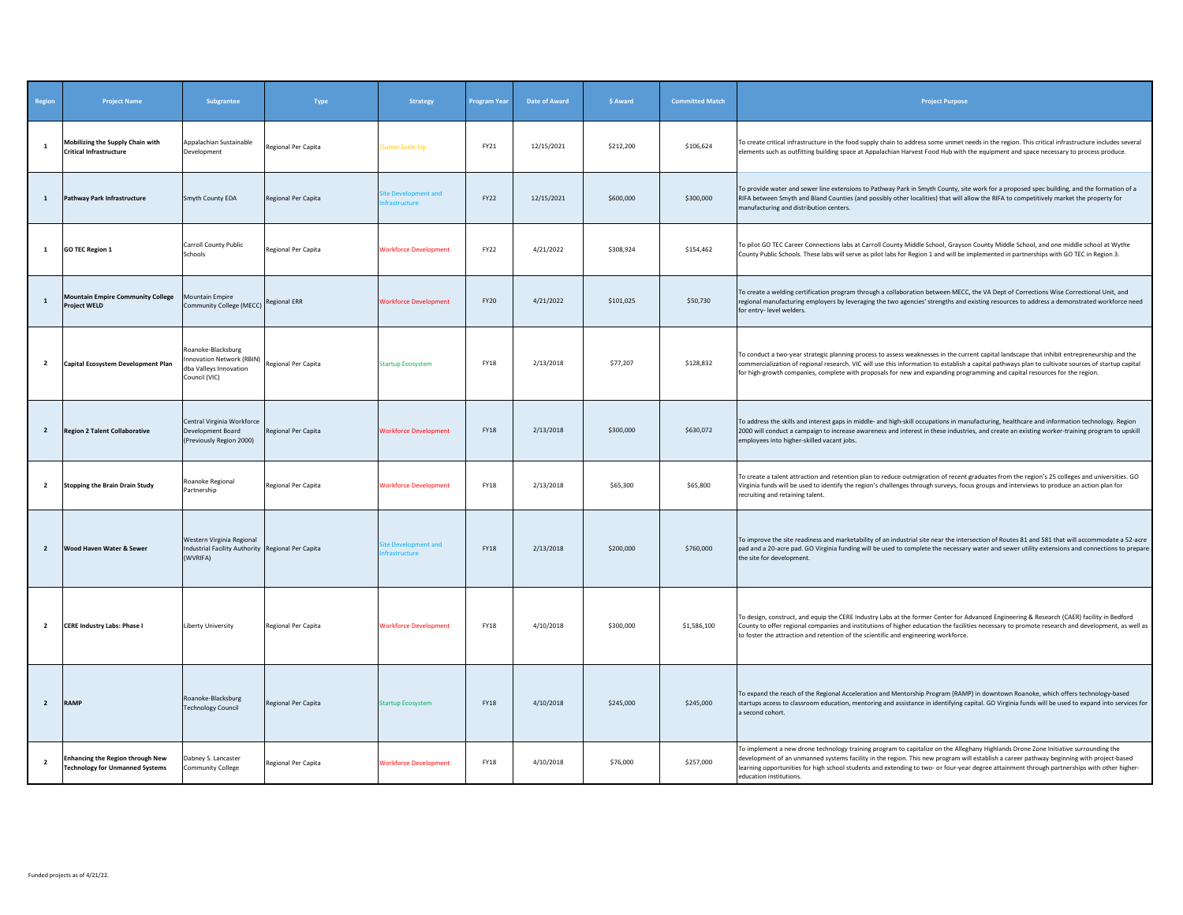| Region                  | <b>Project Name</b>                                                               | Subgrantee                                                                                 | Type                | <b>Strategy</b>                                     | <b>Program Year</b> | Date of Award | \$ Award  | <b>Committed Match</b> | <b>Project Purpose</b>                                                                                                                                                                                                                                                                                                                                                                                                                                    |
|-------------------------|-----------------------------------------------------------------------------------|--------------------------------------------------------------------------------------------|---------------------|-----------------------------------------------------|---------------------|---------------|-----------|------------------------|-----------------------------------------------------------------------------------------------------------------------------------------------------------------------------------------------------------------------------------------------------------------------------------------------------------------------------------------------------------------------------------------------------------------------------------------------------------|
| $\mathbf{1}$            | Mobilizing the Supply Chain with<br><b>Critical Infrastructure</b>                | Appalachian Sustainable<br>Development                                                     | Regional Per Capita | Cluster Scale-Up                                    | FY21                | 12/15/2021    | \$212,200 | \$106,624              | To create critical infrastructure in the food supply chain to address some unmet needs in the region. This critical infrastructure includes several<br>elements such as outfitting building space at Appalachian Harvest Food Hub with the equipment and space necessary to process produce.                                                                                                                                                              |
| <sup>1</sup>            | Pathway Park Infrastructure                                                       | Smyth County EDA                                                                           | Regional Per Capita | ite Development and<br>frastructure                 | FY22                | 12/15/2021    | \$600,000 | \$300,000              | To provide water and sewer line extensions to Pathway Park in Smyth County, site work for a proposed spec building, and the formation of a<br>RIFA between Smyth and Bland Counties (and possibly other localities) that will allow the RIFA to competitively market the property for<br>manufacturing and distribution centers.                                                                                                                          |
| $\mathbf{1}$            | <b>GO TEC Region 1</b>                                                            | Carroll County Public<br>Schools                                                           | Regional Per Capita | <b>Workforce Development</b>                        | FY22                | 4/21/2022     | \$308,924 | \$154,462              | To pilot GO TEC Career Connections labs at Carroll County Middle School, Grayson County Middle School, and one middle school at Wythe<br>County Public Schools. These labs will serve as pilot labs for Region 1 and will be implemented in partnerships with GO TEC in Region 3.                                                                                                                                                                         |
| 1                       | <b>Mountain Empire Community College</b><br><b>Project WELD</b>                   | <b>Mountain Empire</b><br>Community College (MECC) Regional ERR                            |                     | <b>Workforce Development</b>                        | <b>FY20</b>         | 4/21/2022     | \$101,025 | \$50,730               | To create a welding certification program through a collaboration between MECC, the VA Dept of Corrections Wise Correctional Unit, and<br>regional manufacturing employers by leveraging the two agencies' strengths and existing resources to address a demonstrated workforce need<br>for entry-level welders.                                                                                                                                          |
| $\overline{2}$          | Capital Ecosystem Development Plan                                                | Roanoke-Blacksburg<br>nnovation Network (RBIN)<br>dba Valleys Innovation<br>Council (VIC)  | Regional Per Capita | <b>Startup Ecosystem</b>                            | <b>FY18</b>         | 2/13/2018     | \$77,207  | \$128,832              | To conduct a two-year strategic planning process to assess weaknesses in the current capital landscape that inhibit entrepreneurship and the<br>commercialization of regional research. VIC will use this information to establish a capital pathways plan to cultivate sources of startup capital<br>for high-growth companies, complete with proposals for new and expanding programming and capital resources for the region.                          |
| $\overline{2}$          | <b>Region 2 Talent Collaborative</b>                                              | Central Virginia Workforce<br>Development Board<br>(Previously Region 2000)                | Regional Per Capita | <b>Workforce Development</b>                        | <b>FY18</b>         | 2/13/2018     | \$300,000 | \$630,072              | To address the skills and interest gaps in middle- and high-skill occupations in manufacturing, healthcare and information technology. Region<br>2000 will conduct a campaign to increase awareness and interest in these industries, and create an existing worker-training program to upskill<br>employees into higher-skilled vacant jobs.                                                                                                             |
| $\overline{2}$          | <b>Stopping the Brain Drain Study</b>                                             | Roanoke Regional<br>Partnership                                                            | Regional Per Capita | <b>Workforce Development</b>                        | <b>FY18</b>         | 2/13/2018     | \$65,300  | \$65,800               | To create a talent attraction and retention plan to reduce outmigration of recent graduates from the region's 25 colleges and universities. GO<br>Virginia funds will be used to identify the region's challenges through surveys, focus groups and interviews to produce an action plan for<br>recruiting and retaining talent.                                                                                                                          |
| $\overline{2}$          | Wood Haven Water & Sewer                                                          | Western Virginia Regional<br>Industrial Facility Authority Regional Per Capita<br>(WVRIFA) |                     | <b>Site Development and</b><br><b>ifrastructure</b> | <b>FY18</b>         | 2/13/2018     | \$200,000 | \$760,000              | To improve the site readiness and marketability of an industrial site near the intersection of Routes 81 and 581 that will accommodate a 52-acre<br>pad and a 20-acre pad. GO Virginia funding will be used to complete the necessary water and sewer utility extensions and connections to prepare<br>the site for development.                                                                                                                          |
| $\overline{\mathbf{2}}$ | <b>CERE Industry Labs: Phase I</b>                                                | Liberty University                                                                         | Regional Per Capita | <b>Workforce Development</b>                        | <b>FY18</b>         | 4/10/2018     | \$300,000 | \$1,586,100            | To design, construct, and equip the CERE Industry Labs at the former Center for Advanced Engineering & Research (CAER) facility in Bedford<br>County to offer regional companies and institutions of higher education the facilities necessary to promote research and development, as well as<br>to foster the attraction and retention of the scientific and engineering workforce.                                                                     |
| $\overline{2}$          | <b>RAMP</b>                                                                       | Roanoke-Blacksburg<br><b>Technology Council</b>                                            | Regional Per Capita | <b>Startup Ecosystem</b>                            | <b>FY18</b>         | 4/10/2018     | \$245,000 | \$245,000              | To expand the reach of the Regional Acceleration and Mentorship Program (RAMP) in downtown Roanoke, which offers technology-based<br>startups access to classroom education, mentoring and assistance in identifying capital. GO Virginia funds will be used to expand into services for<br>a second cohort.                                                                                                                                              |
| $\overline{2}$          | <b>Enhancing the Region through New</b><br><b>Technology for Unmanned Systems</b> | Dabney S. Lancaster<br><b>Community College</b>                                            | Regional Per Capita | <b>Workforce Development</b>                        | <b>FY18</b>         | 4/10/2018     | \$76,000  | \$257,000              | To implement a new drone technology training program to capitalize on the Alleghany Highlands Drone Zone Initiative surrounding the<br>development of an unmanned systems facility in the region. This new program will establish a career pathway beginning with project-based<br>learning opportunities for high school students and extending to two- or four-year degree attainment through partnerships with other higher-<br>education institutions |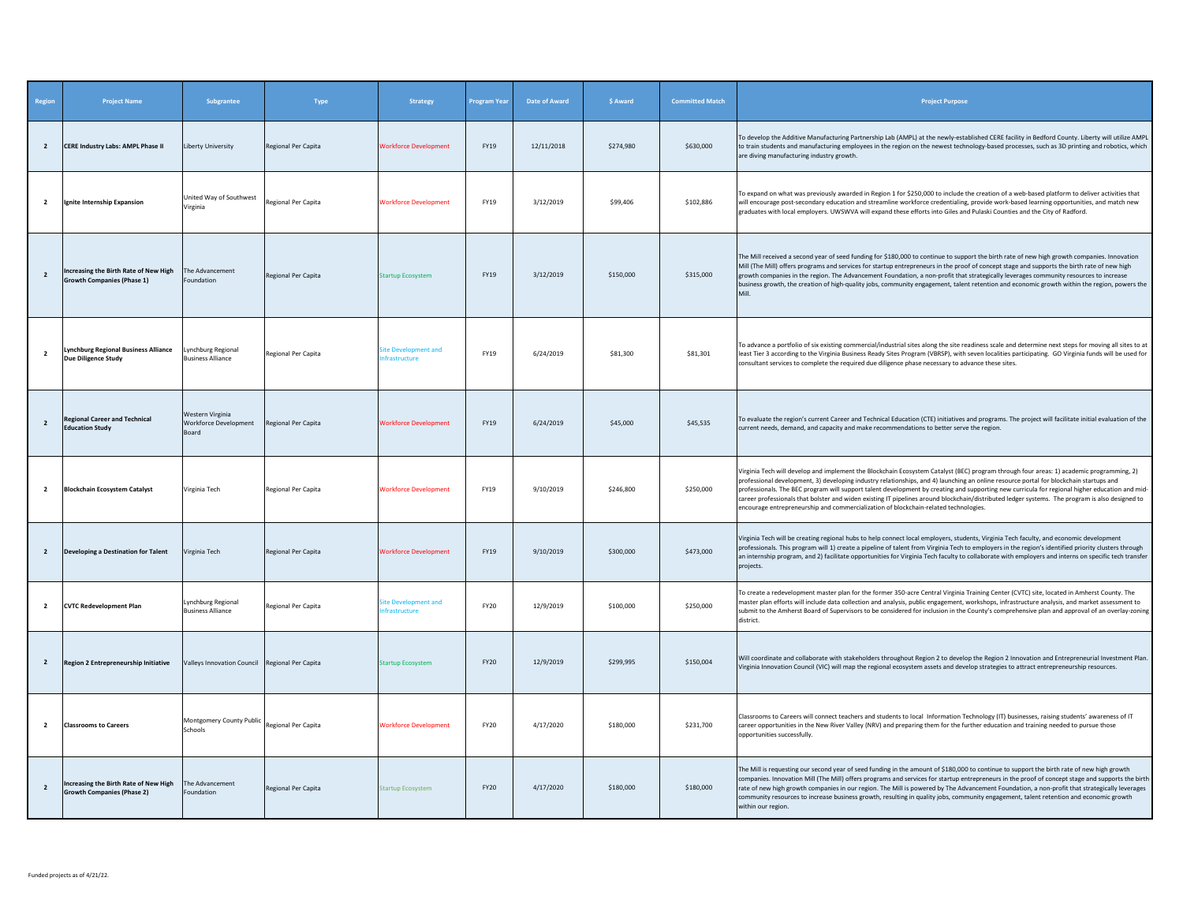| Region         | <b>Project Name</b>                                                        | Subgrantee                                         | Type                       | <b>Strategy</b>                     | <b>Program Year</b> | <b>Date of Award</b> | \$ Award  | <b>Committed Match</b> | <b>Project Purpose</b>                                                                                                                                                                                                                                                                                                                                                                                                                                                                                                                                                                                                                                                          |
|----------------|----------------------------------------------------------------------------|----------------------------------------------------|----------------------------|-------------------------------------|---------------------|----------------------|-----------|------------------------|---------------------------------------------------------------------------------------------------------------------------------------------------------------------------------------------------------------------------------------------------------------------------------------------------------------------------------------------------------------------------------------------------------------------------------------------------------------------------------------------------------------------------------------------------------------------------------------------------------------------------------------------------------------------------------|
| $\overline{2}$ | <b>CERE Industry Labs: AMPL Phase II</b>                                   | Liberty University                                 | Regional Per Capita        | <b>Workforce Development</b>        | FY19                | 12/11/2018           | \$274,980 | \$630,000              | To develop the Additive Manufacturing Partnership Lab (AMPL) at the newly-established CERE facility in Bedford County. Liberty will utilize AMPL<br>to train students and manufacturing employees in the region on the newest technology-based processes, such as 3D printing and robotics, which<br>are diving manufacturing industry growth.                                                                                                                                                                                                                                                                                                                                  |
| $\overline{2}$ | Ignite Internship Expansion                                                | Jnited Way of Southwest<br>/irginia                | Regional Per Capita        | <b>Workforce Development</b>        | FY19                | 3/12/2019            | \$99,406  | \$102,886              | To expand on what was previously awarded in Region 1 for \$250,000 to include the creation of a web-based platform to deliver activities that<br>will encourage post-secondary education and streamline workforce credentialing, provide work-based learning opportunities, and match new<br>graduates with local employers. UWSWVA will expand these efforts into Giles and Pulaski Counties and the City of Radford.                                                                                                                                                                                                                                                          |
| $\overline{2}$ | Increasing the Birth Rate of New High<br><b>Growth Companies (Phase 1)</b> | The Advancement<br>Foundation                      | Regional Per Capita        | Startup Ecosystem                   | FY19                | 3/12/2019            | \$150,000 | \$315,000              | The Mill received a second year of seed funding for \$180,000 to continue to support the birth rate of new high growth companies. Innovation<br>Mill (The Mill) offers programs and services for startup entrepreneurs in the proof of concept stage and supports the birth rate of new high<br>growth companies in the region. The Advancement Foundation, a non-profit that strategically leverages community resources to increase<br>business growth, the creation of high-quality jobs, community engagement, talent retention and economic growth within the region, powers the                                                                                           |
| $\overline{2}$ | <b>Lynchburg Regional Business Alliance</b><br><b>Due Diligence Study</b>  | Lynchburg Regional<br><b>Business Alliance</b>     | Regional Per Capita        | ite Development and<br>frastructure | FY19                | 6/24/2019            | \$81,300  | \$81,301               | To advance a portfolio of six existing commercial/industrial sites along the site readiness scale and determine next steps for moving all sites to at<br>least Tier 3 according to the Virginia Business Ready Sites Program (VBRSP), with seven localities participating. GO Virginia funds will be used for<br>consultant services to complete the required due diligence phase necessary to advance these sites.                                                                                                                                                                                                                                                             |
| $\overline{2}$ | <b>Regional Career and Technical</b><br><b>Education Study</b>             | Western Virginia<br>Workforce Development<br>Board | Regional Per Capita        | <b>Workforce Development</b>        | FY19                | 6/24/2019            | \$45,000  | \$45,535               | To evaluate the region's current Career and Technical Education (CTE) initiatives and programs. The project will facilitate initial evaluation of the<br>current needs, demand, and capacity and make recommendations to better serve the region.                                                                                                                                                                                                                                                                                                                                                                                                                               |
| $\overline{2}$ | <b>Blockchain Ecosystem Catalyst</b>                                       | Virginia Tech                                      | Regional Per Capita        | <b>Workforce Development</b>        | FY19                | 9/10/2019            | \$246,800 | \$250,000              | Virginia Tech will develop and implement the Blockchain Ecosystem Catalyst (BEC) program through four areas: 1) academic programming, 2)<br>professional development, 3) developing industry relationships, and 4) launching an online resource portal for blockchain startups and<br>professionals. The BEC program will support talent development by creating and supporting new curricula for regional higher education and mid-<br>career professionals that bolster and widen existing IT pipelines around blockchain/distributed ledger systems. The program is also designed to<br>encourage entrepreneurship and commercialization of blockchain-related technologies. |
| $\overline{2}$ | Developing a Destination for Talent                                        | Virginia Tech                                      | <b>Regional Per Capita</b> | <b>Workforce Development</b>        | FY19                | 9/10/2019            | \$300,000 | \$473,000              | Virginia Tech will be creating regional hubs to help connect local employers, students, Virginia Tech faculty, and economic development<br>professionals. This program will 1) create a pipeline of talent from Virginia Tech to employers in the region's identified priority clusters through<br>an internship program, and 2) facilitate opportunities for Virginia Tech faculty to collaborate with employers and interns on specific tech transfer<br>projects.                                                                                                                                                                                                            |
| $\overline{2}$ | <b>CVTC Redevelopment Plan</b>                                             | Lynchburg Regional<br><b>Business Alliance</b>     | Regional Per Capita        | ite Development and<br>frastructure | FY20                | 12/9/2019            | \$100,000 | \$250,000              | To create a redevelopment master plan for the former 350-acre Central Virginia Training Center (CVTC) site, located in Amherst County. The<br>master plan efforts will include data collection and analysis, public engagement, workshops, infrastructure analysis, and market assessment to<br>submit to the Amherst Board of Supervisors to be considered for inclusion in the County's comprehensive plan and approval of an overlay-zoning<br>district.                                                                                                                                                                                                                     |
| $\overline{2}$ | Region 2 Entrepreneurship Initiative                                       | Valleys Innovation Council Regional Per Capita     |                            | Startup Ecosystem                   | <b>FY20</b>         | 12/9/2019            | \$299,995 | \$150,004              | Will coordinate and collaborate with stakeholders throughout Region 2 to develop the Region 2 Innovation and Entrepreneurial Investment Plan.<br>/irginia Innovation Council (VIC) will map the regional ecosystem assets and develop strategies to attract entrepreneurship resources.                                                                                                                                                                                                                                                                                                                                                                                         |
| $\overline{2}$ | <b>Classrooms to Careers</b>                                               | Montgomery County Public<br>Schools                | Regional Per Capita        | <b>Workforce Development</b>        | FY20                | 4/17/2020            | \$180,000 | \$231,700              | Classrooms to Careers will connect teachers and students to local Information Technology (IT) businesses, raising students' awareness of IT<br>career opportunities in the New River Valley (NRV) and preparing them for the further education and training needed to pursue those<br>opportunities successfully.                                                                                                                                                                                                                                                                                                                                                               |
| $\overline{2}$ | Increasing the Birth Rate of New High<br><b>Growth Companies (Phase 2)</b> | The Advancement<br>Foundation                      | Regional Per Capita        | <b>Startup Ecosystem</b>            | FY20                | 4/17/2020            | \$180,000 | \$180,000              | The Mill is requesting our second year of seed funding in the amount of \$180,000 to continue to support the birth rate of new high growth<br>companies. Innovation Mill (The Mill) offers programs and services for startup entrepreneurs in the proof of concept stage and supports the birth<br>rate of new high growth companies in our region. The Mill is powered by The Advancement Foundation, a non-profit that strategically leverages<br>community resources to increase business growth, resulting in quality jobs, community engagement, talent retention and economic growth<br>within our region                                                                 |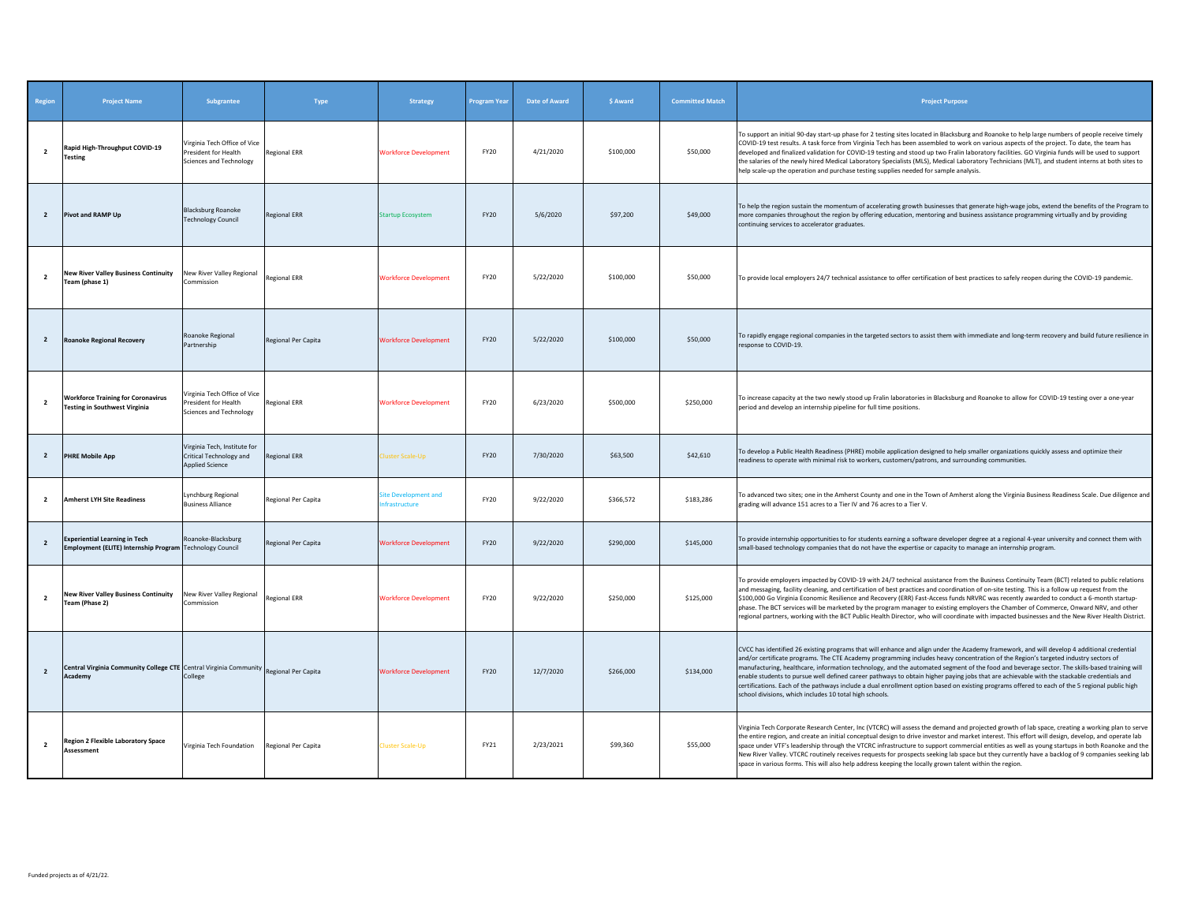| Region         | <b>Project Name</b>                                                                              | <b>Subgrantee</b>                                                                 | <b>Type</b>         | <b>Strategy</b>                            | Program Year | <b>Date of Award</b> | \$ Award  | <b>Committed Match</b> | <b>Project Purpose</b>                                                                                                                                                                                                                                                                                                                                                                                                                                                                                                                                                                                                                                                                                                                                                                      |
|----------------|--------------------------------------------------------------------------------------------------|-----------------------------------------------------------------------------------|---------------------|--------------------------------------------|--------------|----------------------|-----------|------------------------|---------------------------------------------------------------------------------------------------------------------------------------------------------------------------------------------------------------------------------------------------------------------------------------------------------------------------------------------------------------------------------------------------------------------------------------------------------------------------------------------------------------------------------------------------------------------------------------------------------------------------------------------------------------------------------------------------------------------------------------------------------------------------------------------|
| $\overline{2}$ | Rapid High-Throughput COVID-19<br>Testing                                                        | Virginia Tech Office of Vice<br>President for Health<br>Sciences and Technology   | <b>Regional ERR</b> | <b>Vorkforce Development</b>               | FY20         | 4/21/2020            | \$100,000 | \$50,000               | To support an initial 90-day start-up phase for 2 testing sites located in Blacksburg and Roanoke to help large numbers of people receive timely<br>COVID-19 test results. A task force from Virginia Tech has been assembled to work on various aspects of the project. To date, the team has<br>developed and finalized validation for COVID-19 testing and stood up two Fralin laboratory facilities. GO Virginia funds will be used to support<br>the salaries of the newly hired Medical Laboratory Specialists (MLS), Medical Laboratory Technicians (MLT), and student interns at both sites to<br>help scale-up the operation and purchase testing supplies needed for sample analysis.                                                                                             |
| $\overline{2}$ | Pivot and RAMP Up                                                                                | <b>Blacksburg Roanoke</b><br><b>Technology Council</b>                            | <b>Regional ERR</b> | startup Ecosystem                          | <b>FY20</b>  | 5/6/2020             | \$97,200  | \$49,000               | To help the region sustain the momentum of accelerating growth businesses that generate high-wage jobs, extend the benefits of the Program to<br>more companies throughout the region by offering education, mentoring and business assistance programming virtually and by providing<br>continuing services to accelerator graduates.                                                                                                                                                                                                                                                                                                                                                                                                                                                      |
| $\overline{2}$ | <b>New River Valley Business Continuity</b><br>Team (phase 1)                                    | New River Valley Regional<br>Commission                                           | <b>Regional ERR</b> | <b>Workforce Development</b>               | FY20         | 5/22/2020            | \$100,000 | \$50,000               | To provide local employers 24/7 technical assistance to offer certification of best practices to safely reopen during the COVID-19 pandemic.                                                                                                                                                                                                                                                                                                                                                                                                                                                                                                                                                                                                                                                |
| $\overline{2}$ | <b>Roanoke Regional Recovery</b>                                                                 | Roanoke Regional<br>Partnership                                                   | Regional Per Capita | <b>Norkforce Development</b>               | <b>FY20</b>  | 5/22/2020            | \$100,000 | \$50,000               | To rapidly engage regional companies in the targeted sectors to assist them with immediate and long-term recovery and build future resilience in<br>response to COVID-19.                                                                                                                                                                                                                                                                                                                                                                                                                                                                                                                                                                                                                   |
| $\overline{2}$ | <b>Workforce Training for Coronavirus</b><br><b>Testing in Southwest Virginia</b>                | Virginia Tech Office of Vice<br>resident for Health<br>Sciences and Technology    | <b>Regional ERR</b> | <b>Workforce Development</b>               | FY20         | 6/23/2020            | \$500,000 | \$250,000              | To increase capacity at the two newly stood up Fralin laboratories in Blacksburg and Roanoke to allow for COVID-19 testing over a one-year<br>period and develop an internship pipeline for full time positions.                                                                                                                                                                                                                                                                                                                                                                                                                                                                                                                                                                            |
| $\overline{2}$ | <b>PHRE Mobile App</b>                                                                           | Virginia Tech, Institute for<br>Critical Technology and<br><b>Applied Science</b> | <b>Regional ERR</b> | luster Scale-Up                            | <b>FY20</b>  | 7/30/2020            | \$63,500  | \$42,610               | To develop a Public Health Readiness (PHRE) mobile application designed to help smaller organizations quickly assess and optimize their<br>readiness to operate with minimal risk to workers, customers/patrons, and surrounding communities.                                                                                                                                                                                                                                                                                                                                                                                                                                                                                                                                               |
| $\overline{2}$ | <b>Amherst LYH Site Readiness</b>                                                                | Lynchburg Regional<br><b>Business Alliance</b>                                    | Regional Per Capita | ite Development and<br><b>frastructure</b> | <b>FY20</b>  | 9/22/2020            | \$366,572 | \$183,286              | To advanced two sites; one in the Amherst County and one in the Town of Amherst along the Virginia Business Readiness Scale. Due diligence and<br>grading will advance 151 acres to a Tier IV and 76 acres to a Tier V.                                                                                                                                                                                                                                                                                                                                                                                                                                                                                                                                                                     |
| $\overline{2}$ | <b>Experiential Learning in Tech</b><br>Employment (ELITE) Internship Program Technology Council | Roanoke-Blacksburg                                                                | Regional Per Capita | <b>Workforce Development</b>               | <b>FY20</b>  | 9/22/2020            | \$290,000 | \$145,000              | To provide internship opportunities to for students earning a software developer degree at a regional 4-year university and connect them with<br>small-based technology companies that do not have the expertise or capacity to manage an internship program.                                                                                                                                                                                                                                                                                                                                                                                                                                                                                                                               |
| $\overline{2}$ | <b>New River Valley Business Continuity</b><br>Team (Phase 2)                                    | New River Valley Regional<br>Commission                                           | <b>Regional ERR</b> | <b>Workforce Development</b>               | FY20         | 9/22/2020            | \$250,000 | \$125,000              | To provide employers impacted by COVID-19 with 24/7 technical assistance from the Business Continuity Team (BCT) related to public relations<br>and messaging, facility cleaning, and certification of best practices and coordination of on-site testing. This is a follow up request from the<br>\$100,000 Go Virginia Economic Resilience and Recovery (ERR) Fast-Access funds NRVRC was recently awarded to conduct a 6-month startup-<br>phase. The BCT services will be marketed by the program manager to existing employers the Chamber of Commerce, Onward NRV, and other<br>regional partners, working with the BCT Public Health Director, who will coordinate with impacted businesses and the New River Health District.                                                       |
| $\overline{2}$ | Central Virginia Community College CTE Central Virginia Community Regional Per Capita<br>Academy | College                                                                           |                     | <b>Workforce Development</b>               | <b>FY20</b>  | 12/7/2020            | \$266,000 | \$134,000              | CVCC has identified 26 existing programs that will enhance and align under the Academy framework, and will develop 4 additional credential<br>and/or certificate programs. The CTE Academy programming includes heavy concentration of the Region's targeted industry sectors of<br>manufacturing, healthcare, information technology, and the automated segment of the food and beverage sector. The skills-based training will<br>enable students to pursue well defined career pathways to obtain higher paying jobs that are achievable with the stackable credentials and<br>certifications. Each of the pathways include a dual enrollment option based on existing programs offered to each of the 5 regional public high<br>school divisions, which includes 10 total high schools. |
| $\overline{2}$ | <b>Region 2 Flexible Laboratory Space</b><br><b>Assessment</b>                                   | Virginia Tech Foundation                                                          | Regional Per Capita | Cluster Scale-Up                           | FY21         | 2/23/2021            | \$99,360  | \$55,000               | Virginia Tech Corporate Research Center, Inc (VTCRC) will assess the demand and projected growth of lab space, creating a working plan to serve<br>the entire region, and create an initial conceptual design to drive investor and market interest. This effort will design, develop, and operate lab<br>space under VTF's leadership through the VTCRC infrastructure to support commercial entities as well as young startups in both Roanoke and the<br>New River Valley. VTCRC routinely receives requests for prospects seeking lab space but they currently have a backlog of 9 companies seeking lab<br>space in various forms. This will also help address keeping the locally grown talent within the region.                                                                     |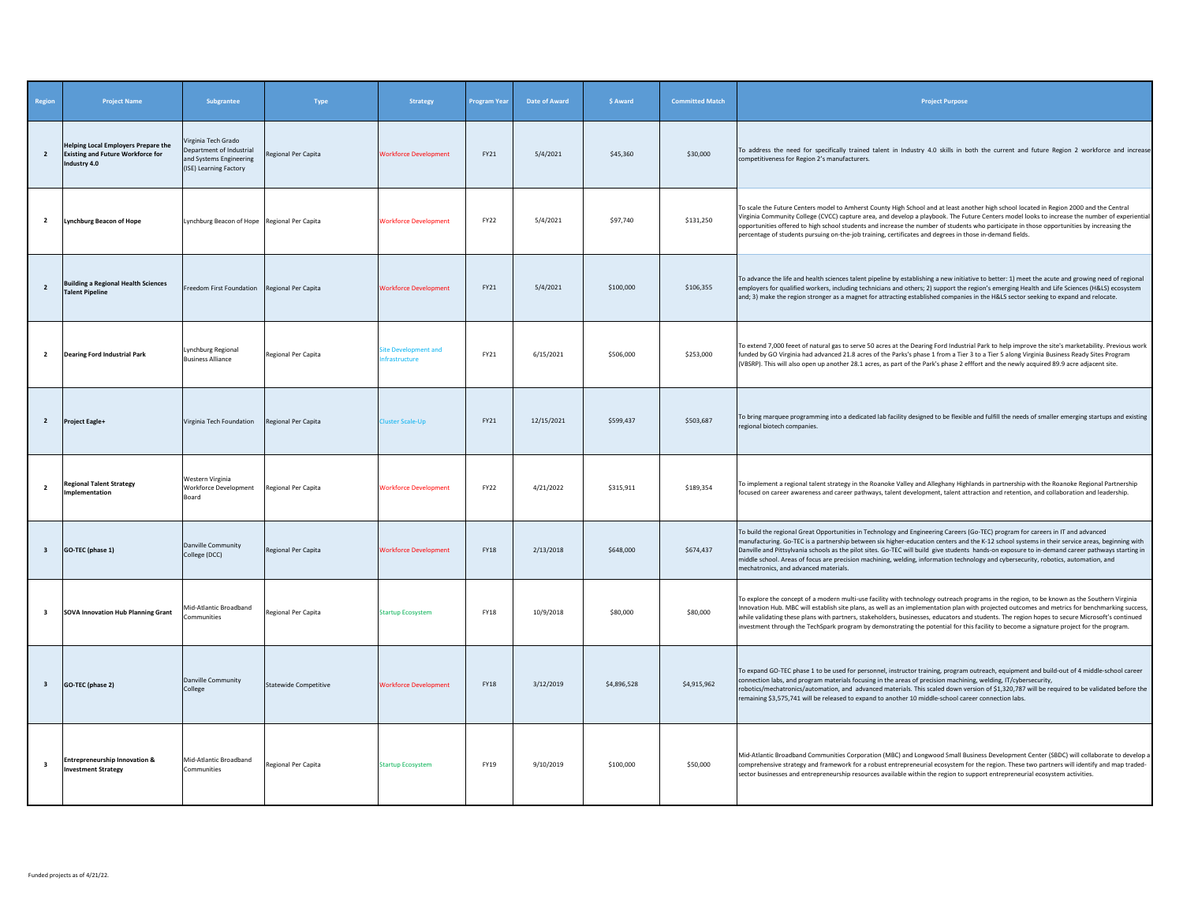| Region                  | <b>Project Name</b>                                                                                    | Subgrantee                                                                                           | Type                         | <b>Strategy</b>                                                         | <b>Program Year</b> | <b>Date of Award</b> | \$ Award    | <b>Committed Match</b> | <b>Project Purpose</b>                                                                                                                                                                                                                                                                                                                                                                                                                                                                                                                                                                                                |
|-------------------------|--------------------------------------------------------------------------------------------------------|------------------------------------------------------------------------------------------------------|------------------------------|-------------------------------------------------------------------------|---------------------|----------------------|-------------|------------------------|-----------------------------------------------------------------------------------------------------------------------------------------------------------------------------------------------------------------------------------------------------------------------------------------------------------------------------------------------------------------------------------------------------------------------------------------------------------------------------------------------------------------------------------------------------------------------------------------------------------------------|
| $\overline{2}$          | <b>Helping Local Employers Prepare the</b><br><b>Existing and Future Workforce for</b><br>Industry 4.0 | Virginia Tech Grado<br>Department of Industrial<br>and Systems Engineering<br>(ISE) Learning Factory | Regional Per Capita          | <b>Workforce Development</b>                                            | FY21                | 5/4/2021             | \$45,360    | \$30,000               | To address the need for specifically trained talent in Industry 4.0 skills in both the current and future Region 2 workforce and increase<br>competitiveness for Region 2's manufacturers.                                                                                                                                                                                                                                                                                                                                                                                                                            |
| $\overline{2}$          | <b>Lynchburg Beacon of Hope</b>                                                                        | Lynchburg Beacon of Hope Regional Per Capita                                                         |                              | <b>Workforce Development</b>                                            | <b>FY22</b>         | 5/4/2021             | \$97,740    | \$131,250              | To scale the Future Centers model to Amherst County High School and at least another high school located in Region 2000 and the Central<br>Virginia Community College (CVCC) capture area, and develop a playbook. The Future Centers model looks to increase the number of experiential<br>opportunities offered to high school students and increase the number of students who participate in those opportunities by increasing the<br>percentage of students pursuing on-the-job training, certificates and degrees in those in-demand fields.                                                                    |
| $\overline{2}$          | <b>Building a Regional Health Sciences</b><br><b>Talent Pipeline</b>                                   | Freedom First Foundation Regional Per Capita                                                         |                              | <b>Workforce Development</b>                                            | FY21                | 5/4/2021             | \$100,000   | \$106,355              | To advance the life and health sciences talent pipeline by establishing a new initiative to better: 1) meet the acute and growing need of regional<br>employers for qualified workers, including technicians and others; 2) support the region's emerging Health and Life Sciences (H&LS) ecosystem<br>and; 3) make the region stronger as a magnet for attracting established companies in the H&LS sector seeking to expand and relocate.                                                                                                                                                                           |
| $\overline{2}$          | <b>Dearing Ford Industrial Park</b>                                                                    | Lynchburg Regional<br><b>Business Alliance</b>                                                       | Regional Per Capita          | ite Development and<br><i><b><u><u><b>Ifrastructure</b></u></u></b></i> | FY21                | 6/15/2021            | \$506,000   | \$253,000              | To extend 7,000 feeet of natural gas to serve 50 acres at the Dearing Ford Industrial Park to help improve the site's marketability. Previous work<br>funded by GO Virginia had advanced 21.8 acres of the Parks's phase 1 from a Tier 3 to a Tier 5 along Virginia Business Ready Sites Program<br>(VBSRP). This will also open up another 28.1 acres, as part of the Park's phase 2 efffort and the newly acquired 89.9 acre adjacent site.                                                                                                                                                                         |
| $\overline{2}$          | Project Eagle+                                                                                         | Virginia Tech Foundation                                                                             | Regional Per Capita          | uster Scale-Up                                                          | FY21                | 12/15/2021           | \$599,437   | \$503,687              | To bring marquee programming into a dedicated lab facility designed to be flexible and fulfill the needs of smaller emerging startups and existing<br>regional biotech companies.                                                                                                                                                                                                                                                                                                                                                                                                                                     |
| $\overline{2}$          | <b>Regional Talent Strategy</b><br>Implementation                                                      | Western Virginia<br>Workforce Development<br>Board                                                   | Regional Per Capita          | <b>Workforce Development</b>                                            | <b>FY22</b>         | 4/21/2022            | \$315,911   | \$189,354              | To implement a regional talent strategy in the Roanoke Valley and Alleghany Highlands in partnership with the Roanoke Regional Partnership<br>focused on career awareness and career pathways, talent development, talent attraction and retention, and collaboration and leadership.                                                                                                                                                                                                                                                                                                                                 |
| $\overline{\mathbf{3}}$ | GO-TEC (phase 1)                                                                                       | <b>Danville Community</b><br>College (DCC)                                                           | Regional Per Capita          | <b>Workforce Development</b>                                            | <b>FY18</b>         | 2/13/2018            | \$648,000   | \$674,437              | To build the regional Great Opportunities in Technology and Engineering Careers (Go-TEC) program for careers in IT and advanced<br>manufacturing. Go-TEC is a partnership between six higher-education centers and the K-12 school systems in their service areas, beginning with<br>Danville and Pittsylvania schools as the pilot sites. Go-TEC will build give students hands-on exposure to in-demand career pathways starting in<br>niddle school. Areas of focus are precision machining, welding, information technology and cybersecurity, robotics, automation, and<br>mechatronics, and advanced materials. |
| $\overline{\mathbf{3}}$ | <b>SOVA Innovation Hub Planning Grant</b>                                                              | Mid-Atlantic Broadband<br>Communities                                                                | Regional Per Capita          | <b>Startup Ecosystem</b>                                                | <b>FY18</b>         | 10/9/2018            | \$80,000    | \$80,000               | To explore the concept of a modern multi-use facility with technology outreach programs in the region, to be known as the Southern Virginia<br>Innovation Hub. MBC will establish site plans, as well as an implementation plan with projected outcomes and metrics for benchmarking success,<br>while validating these plans with partners, stakeholders, businesses, educators and students. The region hopes to secure Microsoft's continued<br>investment through the TechSpark program by demonstrating the potential for this facility to become a signature project for the program.                           |
| $\overline{\mathbf{3}}$ | GO-TEC (phase 2)                                                                                       | <b>Danville Community</b><br>College                                                                 | <b>Statewide Competitive</b> | <b>Workforce Development</b>                                            | <b>FY18</b>         | 3/12/2019            | \$4,896,528 | \$4,915,962            | To expand GO-TEC phase 1 to be used for personnel, instructor training, program outreach, equipment and build-out of 4 middle-school career<br>connection labs, and program materials focusing in the areas of precision machining, welding, IT/cybersecurity,<br>robotics/mechatronics/automation, and advanced materials. This scaled down version of \$1,320,787 will be required to be validated before the<br>remaining \$3,575,741 will be released to expand to another 10 middle-school career connection labs.                                                                                               |
| $\overline{\mathbf{3}}$ | <b>Entrepreneurship Innovation &amp;</b><br><b>Investment Strategy</b>                                 | Mid-Atlantic Broadband<br>Communities                                                                | Regional Per Capita          | <b>Startup Ecosystem</b>                                                | FY19                | 9/10/2019            | \$100,000   | \$50,000               | Mid-Atlantic Broadband Communities Corporation (MBC) and Longwood Small Business Development Center (SBDC) will collaborate to develop a<br>comprehensive strategy and framework for a robust entrepreneurial ecosystem for the region. These two partners will identify and map traded-<br>sector businesses and entrepreneurship resources available within the region to support entrepreneurial ecosystem activities.                                                                                                                                                                                             |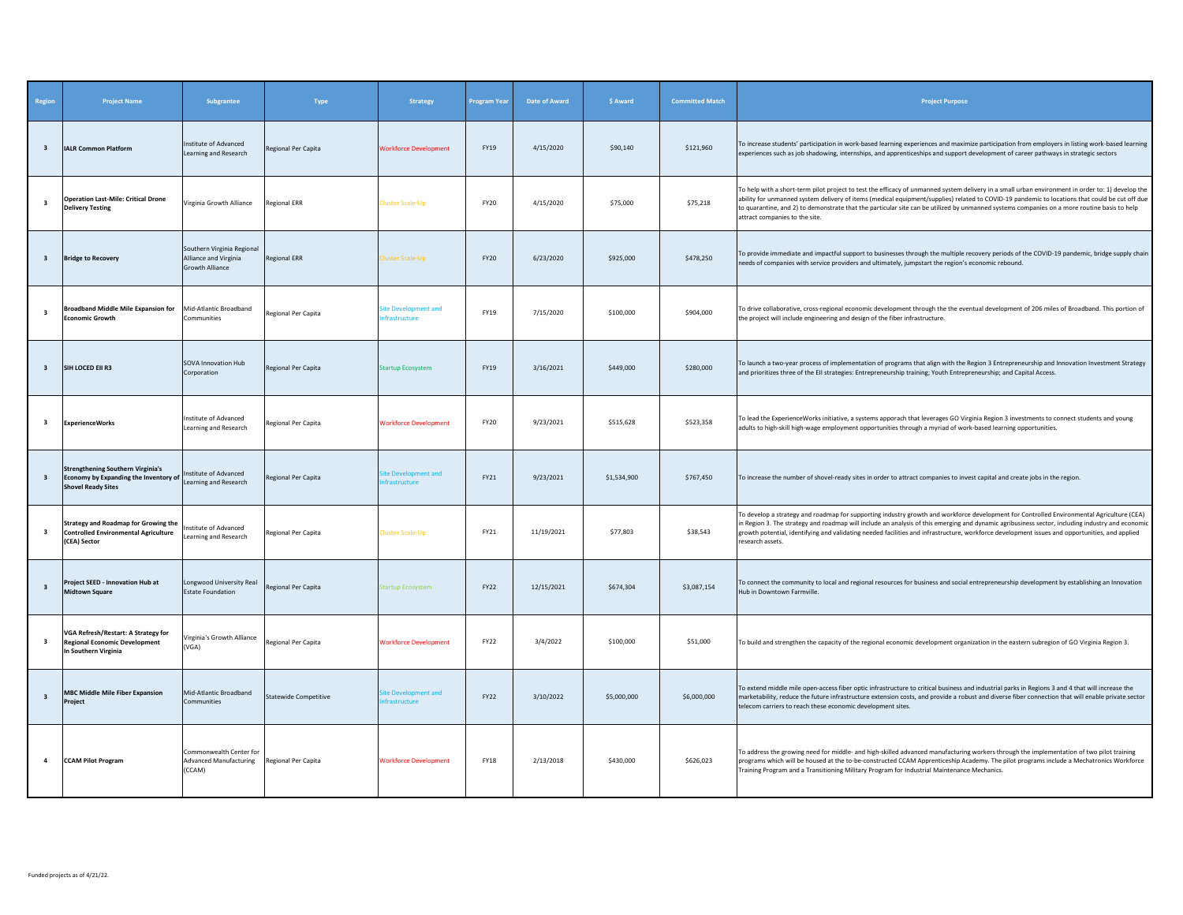| Region                  | <b>Project Name</b>                                                                                            | Subgrantee                                                                    | Type                  | <b>Strategy</b>                     | Program Year | <b>Date of Award</b> | \$ Award    | <b>Committed Match</b> | <b>Project Purpose</b>                                                                                                                                                                                                                                                                                                                                                                                                                                                               |
|-------------------------|----------------------------------------------------------------------------------------------------------------|-------------------------------------------------------------------------------|-----------------------|-------------------------------------|--------------|----------------------|-------------|------------------------|--------------------------------------------------------------------------------------------------------------------------------------------------------------------------------------------------------------------------------------------------------------------------------------------------------------------------------------------------------------------------------------------------------------------------------------------------------------------------------------|
| $\overline{\mathbf{3}}$ | <b>IALR Common Platform</b>                                                                                    | Institute of Advanced<br>Learning and Research                                | Regional Per Capita   | <b>Workforce Development</b>        | FY19         | 4/15/2020            | \$90,140    | \$121,960              | To increase students' participation in work-based learning experiences and maximize participation from employers in listing work-based learning<br>experiences such as job shadowing, internships, and apprenticeships and support development of career pathways in strategic sectors                                                                                                                                                                                               |
| 3                       | <b>Operation Last-Mile: Critical Drone</b><br><b>Delivery Testing</b>                                          | Virginia Growth Alliance                                                      | <b>Regional ERR</b>   | luster Scale-Up                     | <b>FY20</b>  | 4/15/2020            | \$75,000    | \$75,218               | To help with a short-term pilot project to test the efficacy of unmanned system delivery in a small urban environment in order to: 1) develop the<br>ability for unmanned system delivery of items (medical equipment/supplies) related to COVID-19 pandemic to locations that could be cut off due<br>to quarantine, and 2) to demonstrate that the particular site can be utilized by unmanned systems companies on a more routine basis to help<br>attract companies to the site. |
| $\overline{\mathbf{3}}$ | <b>Bridge to Recovery</b>                                                                                      | Southern Virginia Regional<br>Alliance and Virginia<br><b>Growth Alliance</b> | <b>Regional ERR</b>   | luster Scale-Up                     | FY20         | 6/23/2020            | \$925,000   | \$478,250              | To provide immediate and impactful support to businesses through the multiple recovery periods of the COVID-19 pandemic, bridge supply chain<br>needs of companies with service providers and ultimately, jumpstart the region's economic rebound.                                                                                                                                                                                                                                   |
| $\overline{\mathbf{3}}$ | <b>Broadband Middle Mile Expansion for</b><br><b>Economic Growth</b>                                           | Mid-Atlantic Broadband<br>Communities                                         | Regional Per Capita   | ite Development and<br>frastructure | FY19         | 7/15/2020            | \$100,000   | \$904,000              | To drive collaborative, cross-regional economic development through the the eventual development of 206 miles of Broadband. This portion of<br>the project will include engineering and design of the fiber infrastructure.                                                                                                                                                                                                                                                          |
| $\overline{\mathbf{3}}$ | SIH LOCED EII R3                                                                                               | <b>SOVA Innovation Hub</b><br>Corporation                                     | Regional Per Capita   | <b>itartup Ecosystem</b>            | <b>FY19</b>  | 3/16/2021            | \$449,000   | \$280,000              | To launch a two-year process of implementation of programs that align with the Region 3 Entrepreneurship and Innovation Investment Strategy<br>and prioritizes three of the EII strategies: Entrepreneurship training; Youth Entrepreneurship; and Capital Access.                                                                                                                                                                                                                   |
| 3                       | <b>ExperienceWorks</b>                                                                                         | Institute of Advanced<br>Learning and Research                                | Regional Per Capita   | <b>Workforce Development</b>        | FY20         | 9/23/2021            | \$515,628   | \$523,358              | To lead the ExperienceWorks initiative, a systems apporach that leverages GO Virginia Region 3 investments to connect students and young<br>adults to high-skill high-wage employment opportunities through a myriad of work-based learning opportunities.                                                                                                                                                                                                                           |
| $\overline{\mathbf{3}}$ | <b>Strengthening Southern Virginia's</b><br>Economy by Expanding the Inventory of<br><b>Shovel Ready Sites</b> | Institute of Advanced<br>Learning and Research                                | Regional Per Capita   | te Development and<br>frastructure  | FY21         | 9/23/2021            | \$1,534,900 | \$767,450              | To increase the number of shovel-ready sites in order to attract companies to invest capital and create jobs in the region.                                                                                                                                                                                                                                                                                                                                                          |
| 3                       | <b>Strategy and Roadmap for Growing the</b><br><b>Controlled Environmental Agriculture</b><br>(CEA) Sector     | nstitute of Advanced<br>Learning and Research                                 | Regional Per Capita   | luster Scale-Up                     | FY21         | 11/19/2021           | \$77,803    | \$38,543               | To develop a strategy and roadmap for supporting industry growth and workforce development for Controlled Environmental Agriculture (CEA)<br>n Region 3. The strategy and roadmap will include an analysis of this emerging and dynamic agribusiness sector, including industry and economi<br>growth potential, identifying and validating needed facilities and infrastructure, workforce development issues and opportunities, and applied<br>research assets.                    |
| $\overline{\mathbf{3}}$ | Project SEED - Innovation Hub at<br><b>Midtown Square</b>                                                      | Longwood University Real<br><b>Estate Foundation</b>                          | Regional Per Capita   | artup Ecosystem                     | FY22         | 12/15/2021           | \$674,304   | \$3,087,154            | To connect the community to local and regional resources for business and social entrepreneurship development by establishing an Innovation<br>Hub in Downtown Farmville                                                                                                                                                                                                                                                                                                             |
| 3                       | VGA Refresh/Restart: A Strategy for<br><b>Regional Economic Development</b><br>In Southern Virginia            | Virginia's Growth Alliance<br>(VGA)                                           | Regional Per Capita   | <b>Workforce Development</b>        | FY22         | 3/4/2022             | \$100,000   | \$51,000               | To build and strengthen the capacity of the regional economic development organization in the eastern subregion of GO Virginia Region 3.                                                                                                                                                                                                                                                                                                                                             |
| $\overline{\mathbf{3}}$ | <b>MBC Middle Mile Fiber Expansion</b><br>Project                                                              | Mid-Atlantic Broadband<br>Communities                                         | Statewide Competitive | te Development and<br>frastructure  | FY22         | 3/10/2022            | \$5,000,000 | \$6,000,000            | To extend middle mile open-access fiber optic infrastructure to critical business and industrial parks in Regions 3 and 4 that will increase the<br>marketability, reduce the future infrastructure extension costs, and provide a robust and diverse fiber connection that will enable private sector<br>telecom carriers to reach these economic development sites.                                                                                                                |
| $\overline{4}$          | <b>CCAM Pilot Program</b>                                                                                      | Commonwealth Center for<br><b>Advanced Manufacturing</b><br>(CCAM)            | Regional Per Capita   | <b>Workforce Development</b>        | <b>FY18</b>  | 2/13/2018            | \$430,000   | \$626,023              | To address the growing need for middle- and high-skilled advanced manufacturing workers through the implementation of two pilot training<br>programs which will be housed at the to-be-constructed CCAM Apprenticeship Academy. The pilot programs include a Mechatronics Workforce<br>Training Program and a Transitioning Military Program for Industrial Maintenance Mechanics.                                                                                                   |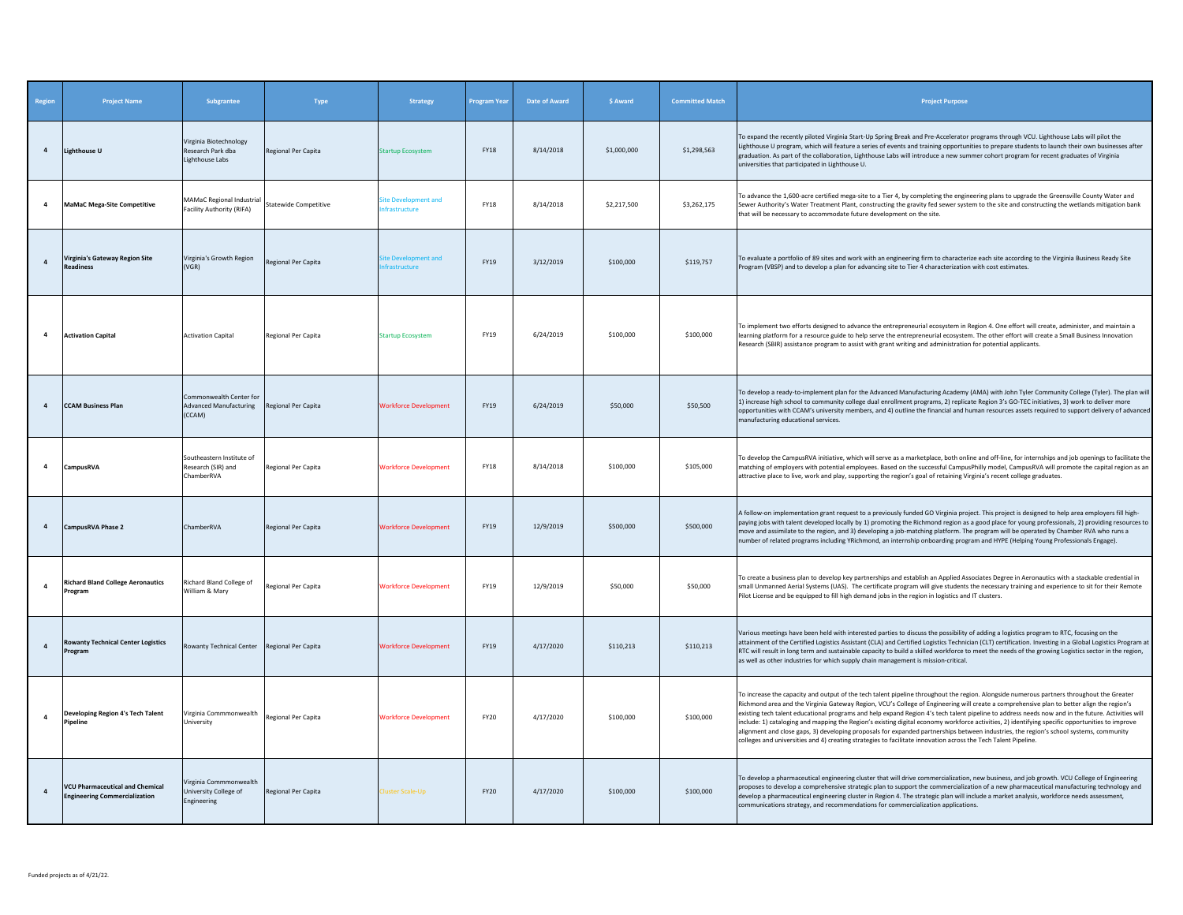| Region         | <b>Project Name</b>                                                            | Subgrantee                                                         | Type                         | <b>Strategy</b>                     | <b>Program Year</b> | <b>Date of Award</b> | \$ Award    | <b>Committed Match</b> | <b>Project Purpose</b>                                                                                                                                                                                                                                                                                                                                                                                                                                                                                                                                                                                                                                                                                                                                                                                                                                     |
|----------------|--------------------------------------------------------------------------------|--------------------------------------------------------------------|------------------------------|-------------------------------------|---------------------|----------------------|-------------|------------------------|------------------------------------------------------------------------------------------------------------------------------------------------------------------------------------------------------------------------------------------------------------------------------------------------------------------------------------------------------------------------------------------------------------------------------------------------------------------------------------------------------------------------------------------------------------------------------------------------------------------------------------------------------------------------------------------------------------------------------------------------------------------------------------------------------------------------------------------------------------|
| $\overline{a}$ | <b>Lighthouse U</b>                                                            | Virginia Biotechnology<br>Research Park dba<br>Lighthouse Labs     | Regional Per Capita          | <b>Startup Ecosystem</b>            | <b>FY18</b>         | 8/14/2018            | \$1,000,000 | \$1,298,563            | To expand the recently piloted Virginia Start-Up Spring Break and Pre-Accelerator programs through VCU. Lighthouse Labs will pilot the<br>Lighthouse U program, which will feature a series of events and training opportunities to prepare students to launch their own businesses after<br>graduation. As part of the collaboration, Lighthouse Labs will introduce a new summer cohort program for recent graduates of Virginia<br>universities that participated in Lighthouse U.                                                                                                                                                                                                                                                                                                                                                                      |
| $\overline{a}$ | <b>MaMaC Mega-Site Competitive</b>                                             | <b>MAMaC Regional Industrial</b><br>Facility Authority (RIFA)      | <b>Statewide Competitive</b> | ite Development and<br>frastructure | <b>FY18</b>         | 8/14/2018            | \$2,217,500 | \$3,262,175            | To advance the 1,600-acre certified mega-site to a Tier 4, by completing the engineering plans to upgrade the Greensville County Water and<br>Sewer Authority's Water Treatment Plant, constructing the gravity fed sewer system to the site and constructing the wetlands mitigation bank<br>that will be necessary to accommodate future development on the site.                                                                                                                                                                                                                                                                                                                                                                                                                                                                                        |
| $\overline{4}$ | Virginia's Gateway Region Site<br><b>Readiness</b>                             | Virginia's Growth Region<br>(VGR)                                  | Regional Per Capita          | te Development and<br>frastructure  | FY19                | 3/12/2019            | \$100,000   | \$119,757              | To evaluate a portfolio of 89 sites and work with an engineering firm to characterize each site according to the Virginia Business Ready Site<br>Program (VBSP) and to develop a plan for advancing site to Tier 4 characterization with cost estimates.                                                                                                                                                                                                                                                                                                                                                                                                                                                                                                                                                                                                   |
| $\overline{a}$ | <b>Activation Capital</b>                                                      | <b>Activation Capital</b>                                          | Regional Per Capita          | <b>Startup Ecosystem</b>            | <b>FY19</b>         | 6/24/2019            | \$100,000   | \$100,000              | To implement two efforts designed to advance the entrepreneurial ecosystem in Region 4. One effort will create, administer, and maintain a<br>learning platform for a resource guide to help serve the entrepreneurial ecosystem. The other effort will create a Small Business Innovation<br>Research (SBIR) assistance program to assist with grant writing and administration for potential applicants.                                                                                                                                                                                                                                                                                                                                                                                                                                                 |
| $\overline{4}$ | <b>CCAM Business Plan</b>                                                      | Commonwealth Center for<br><b>Advanced Manufacturing</b><br>(CCAM) | Regional Per Capita          | <b>Workforce Development</b>        | <b>FY19</b>         | 6/24/2019            | \$50,000    | \$50,500               | To develop a ready-to-implement plan for the Advanced Manufacturing Academy (AMA) with John Tyler Community College (Tyler). The plan will<br>1) increase high school to community college dual enrollment programs, 2) replicate Region 3's GO-TEC initiatives, 3) work to deliver more<br>opportunities with CCAM's university members, and 4) outline the financial and human resources assets required to support delivery of advanced<br>manufacturing educational services.                                                                                                                                                                                                                                                                                                                                                                          |
| 4              | <b>CampusRVA</b>                                                               | Southeastern Institute of<br>Research (SIR) and<br>ChamberRVA      | Regional Per Capita          | <b>Workforce Development</b>        | <b>FY18</b>         | 8/14/2018            | \$100,000   | \$105,000              | To develop the CampusRVA initiative, which will serve as a marketplace, both online and off-line, for internships and job openings to facilitate the<br>matching of employers with potential employees. Based on the successful CampusPhilly model, CampusRVA will promote the capital region as an<br>attractive place to live, work and play, supporting the region's goal of retaining Virginia's recent college graduates.                                                                                                                                                                                                                                                                                                                                                                                                                             |
| $\overline{a}$ | CampusRVA Phase 2                                                              | ChamberRVA                                                         | Regional Per Capita          | <b>Workforce Development</b>        | <b>FY19</b>         | 12/9/2019            | \$500,000   | \$500,000              | A follow-on implementation grant request to a previously funded GO Virginia project. This project is designed to help area employers fill high-<br>paying jobs with talent developed locally by 1) promoting the Richmond region as a good place for young professionals, 2) providing resources to<br>move and assimilate to the region, and 3) developing a job-matching platform. The program will be operated by Chamber RVA who runs a<br>number of related programs including YRichmond, an internship onboarding program and HYPE (Helping Young Professionals Engage).                                                                                                                                                                                                                                                                             |
| $\overline{a}$ | <b>Richard Bland College Aeronautics</b><br>Program                            | Richard Bland College of<br>William & Mary                         | Regional Per Capita          | <b>Workforce Development</b>        | <b>FY19</b>         | 12/9/2019            | \$50,000    | \$50,000               | To create a business plan to develop key partnerships and establish an Applied Associates Degree in Aeronautics with a stackable credential in<br>small Unmanned Aerial Systems (UAS). The certificate program will give students the necessary training and experience to sit for their Remote<br>Pilot License and be equipped to fill high demand jobs in the region in logistics and IT clusters.                                                                                                                                                                                                                                                                                                                                                                                                                                                      |
| $\overline{a}$ | <b>Rowanty Technical Center Logistics</b><br>Program                           | Rowanty Technical Center Regional Per Capita                       |                              | <b>Workforce Development</b>        | <b>FY19</b>         | 4/17/2020            | \$110.213   | \$110,213              | Various meetings have been held with interested parties to discuss the possibility of adding a logistics program to RTC, focusing on the<br>attainment of the Certified Logistics Assistant (CLA) and Certified Logistics Technician (CLT) certification. Investing in a Global Logistics Program at<br>RTC will result in long term and sustainable capacity to build a skilled workforce to meet the needs of the growing Logistics sector in the region,<br>as well as other industries for which supply chain management is mission-critical.                                                                                                                                                                                                                                                                                                          |
| $\overline{a}$ | Developing Region 4's Tech Talent<br>Pipeline                                  | Virginia Commmonwealth<br>University                               | Regional Per Capita          | <b>Workforce Development</b>        | <b>FY20</b>         | 4/17/2020            | \$100,000   | \$100,000              | To increase the capacity and output of the tech talent pipeline throughout the region. Alongside numerous partners throughout the Greater<br>Richmond area and the Virginia Gateway Region, VCU's College of Engineering will create a comprehensive plan to better align the region's<br>existing tech talent educational programs and help expand Region 4's tech talent pipeline to address needs now and in the future. Activities will<br>include: 1) cataloging and mapping the Region's existing digital economy workforce activities, 2) identifying specific opportunities to improve<br>alignment and close gaps, 3) developing proposals for expanded partnerships between industries, the region's school systems, community<br>colleges and universities and 4) creating strategies to facilitate innovation across the Tech Talent Pipeline. |
| $\overline{a}$ | <b>VCU Pharmaceutical and Chemical</b><br><b>Engineering Commercialization</b> | Virginia Commmonwealth<br>University College of<br>Engineering     | Regional Per Capita          | <b>Cluster Scale-Up</b>             | <b>FY20</b>         | 4/17/2020            | \$100,000   | \$100,000              | To develop a pharmaceutical engineering cluster that will drive commercialization, new business, and job growth. VCU College of Engineering<br>proposes to develop a comprehensive strategic plan to support the commercialization of a new pharmaceutical manufacturing technology and<br>develop a pharmaceutical engineering cluster in Region 4. The strategic plan will include a market analysis, workforce needs assessment,<br>communications strategy, and recommendations for commercialization applications.                                                                                                                                                                                                                                                                                                                                    |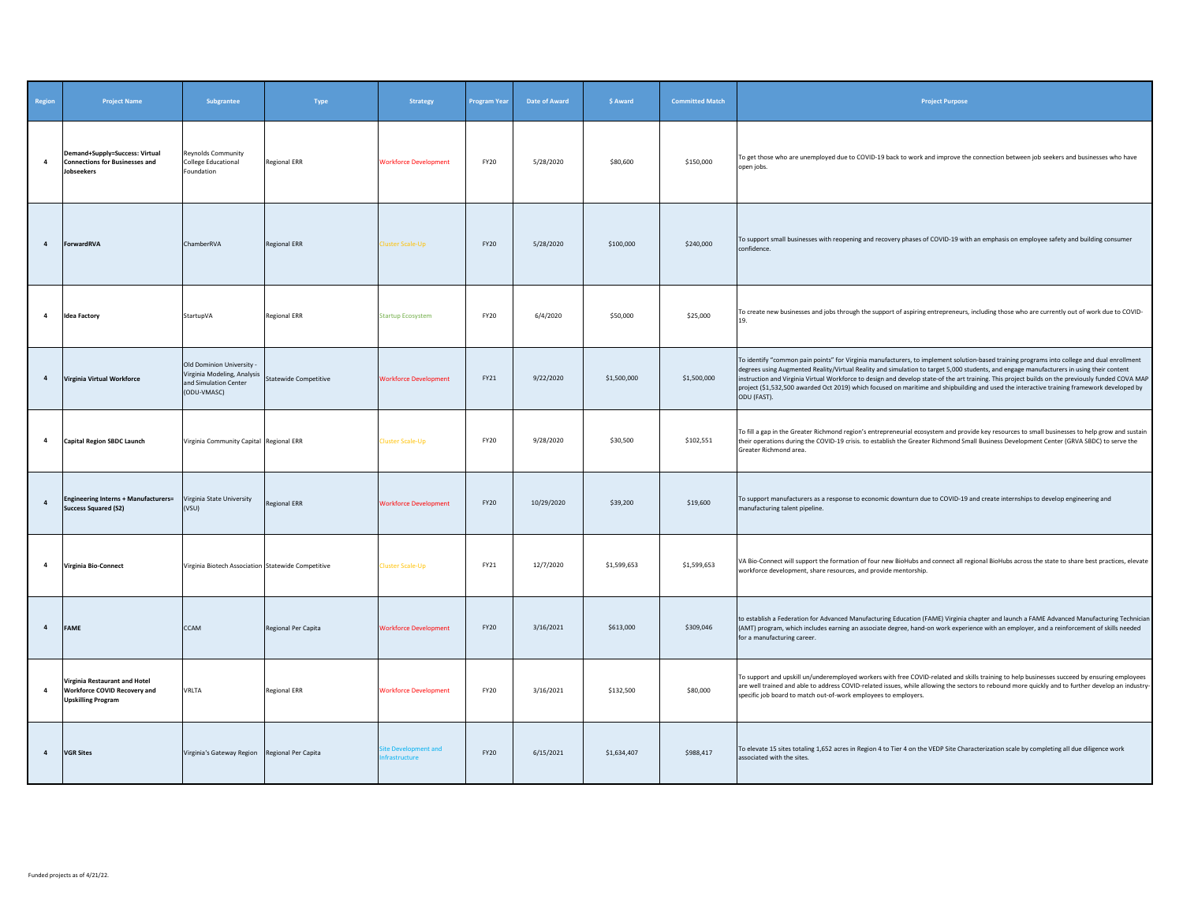| Region         | <b>Project Name</b>                                                                               | Subgrantee                                                                                                           | Type                | <b>Strategy</b>                    | Program Year | Date of Award | \$ Award    | <b>Committed Match</b> | <b>Project Purpose</b>                                                                                                                                                                                                                                                                                                                                                                                                                                                                                                                                                                                    |
|----------------|---------------------------------------------------------------------------------------------------|----------------------------------------------------------------------------------------------------------------------|---------------------|------------------------------------|--------------|---------------|-------------|------------------------|-----------------------------------------------------------------------------------------------------------------------------------------------------------------------------------------------------------------------------------------------------------------------------------------------------------------------------------------------------------------------------------------------------------------------------------------------------------------------------------------------------------------------------------------------------------------------------------------------------------|
| $\overline{4}$ | Demand+Supply=Success: Virtual<br><b>Connections for Businesses and</b><br>Jobseekers             | Reynolds Community<br><b>College Educational</b><br>Foundation                                                       | <b>Regional ERR</b> | <b>Workforce Development</b>       | <b>FY20</b>  | 5/28/2020     | \$80,600    | \$150,000              | To get those who are unemployed due to COVID-19 back to work and improve the connection between job seekers and businesses who have<br>open jobs.                                                                                                                                                                                                                                                                                                                                                                                                                                                         |
| $\overline{4}$ | ForwardRVA                                                                                        | ChamberRVA                                                                                                           | <b>Regional ERR</b> | luster Scale-Up                    | <b>FY20</b>  | 5/28/2020     | \$100,000   | \$240,000              | To support small businesses with reopening and recovery phases of COVID-19 with an emphasis on employee safety and building consumer<br>confidence.                                                                                                                                                                                                                                                                                                                                                                                                                                                       |
| $\overline{4}$ | <b>Idea Factory</b>                                                                               | StartupVA                                                                                                            | <b>Regional ERR</b> | <b>Startup Ecosystem</b>           | <b>FY20</b>  | 6/4/2020      | \$50,000    | \$25,000               | To create new businesses and jobs through the support of aspiring entrepreneurs, including those who are currently out of work due to COVID-<br>19.                                                                                                                                                                                                                                                                                                                                                                                                                                                       |
| $\overline{4}$ | Virginia Virtual Workforce                                                                        | Old Dominion University<br>Virginia Modeling, Analysis Statewide Competitive<br>and Simulation Center<br>(ODU-VMASC) |                     | <b>Workforce Development</b>       | FY21         | 9/22/2020     | \$1,500,000 | \$1,500,000            | To identify "common pain points" for Virginia manufacturers, to implement solution-based training programs into college and dual enrollment<br>degrees using Augmented Reality/Virtual Reality and simulation to target 5,000 students, and engage manufacturers in using their content<br>instruction and Virginia Virtual Workforce to design and develop state-of the art training. This project builds on the previously funded COVA MAP<br>project (\$1,532,500 awarded Oct 2019) which focused on maritime and shipbuilding and used the interactive training framework developed by<br>ODU (FAST). |
| $\overline{4}$ | <b>Capital Region SBDC Launch</b>                                                                 | Virginia Community Capital Regional ERR                                                                              |                     | <b>Cluster Scale-Up</b>            | <b>FY20</b>  | 9/28/2020     | \$30,500    | \$102,551              | To fill a gap in the Greater Richmond region's entrepreneurial ecosystem and provide key resources to small businesses to help grow and sustain<br>their operations during the COVID-19 crisis. to establish the Greater Richmond Small Business Development Center (GRVA SBDC) to serve the<br>Greater Richmond area.                                                                                                                                                                                                                                                                                    |
| $\overline{4}$ | <b>Engineering Interns + Manufacturers=</b><br><b>Success Squared (S2)</b>                        | Virginia State University<br>(VSU)                                                                                   | <b>Regional ERR</b> | <b>Workforce Development</b>       | <b>FY20</b>  | 10/29/2020    | \$39,200    | \$19,600               | To support manufacturers as a response to economic downturn due to COVID-19 and create internships to develop engineering and<br>manufacturing talent pipeline.                                                                                                                                                                                                                                                                                                                                                                                                                                           |
| $\overline{a}$ | Virginia Bio-Connect                                                                              | Virginia Biotech Association Statewide Competitive                                                                   |                     | <b>Cluster Scale-Up</b>            | FY21         | 12/7/2020     | \$1,599,653 | \$1,599,653            | VA Bio-Connect will support the formation of four new BioHubs and connect all regional BioHubs across the state to share best practices, elevate<br>workforce development, share resources, and provide mentorship.                                                                                                                                                                                                                                                                                                                                                                                       |
| $\overline{a}$ | FAME                                                                                              | CCAM                                                                                                                 | Regional Per Capita | <b>Workforce Development</b>       | <b>FY20</b>  | 3/16/2021     | \$613,000   | \$309,046              | to establish a Federation for Advanced Manufacturing Education (FAME) Virginia chapter and launch a FAME Advanced Manufacturing Technician<br>(AMT) program, which includes earning an associate degree, hand-on work experience with an employer, and a reinforcement of skills needed<br>for a manufacturing career.                                                                                                                                                                                                                                                                                    |
| 4              | Virginia Restaurant and Hotel<br><b>Workforce COVID Recovery and</b><br><b>Upskilling Program</b> | VRLTA                                                                                                                | <b>Regional ERR</b> | <b>Workforce Development</b>       | <b>FY20</b>  | 3/16/2021     | \$132,500   | \$80,000               | To support and upskill un/underemployed workers with free COVID-related and skills training to help businesses succeed by ensuring employees<br>are well trained and able to address COVID-related issues, while allowing the sectors to rebound more quickly and to further develop an industry-<br>specific job board to match out-of-work employees to employers.                                                                                                                                                                                                                                      |
| $\overline{4}$ | <b>VGR Sites</b>                                                                                  | Virginia's Gateway Region Regional Per Capita                                                                        |                     | te Development and<br>frastructure | <b>FY20</b>  | 6/15/2021     | \$1,634,407 | \$988,417              | To elevate 15 sites totaling 1,652 acres in Region 4 to Tier 4 on the VEDP Site Characterization scale by completing all due diligence work<br>associated with the sites.                                                                                                                                                                                                                                                                                                                                                                                                                                 |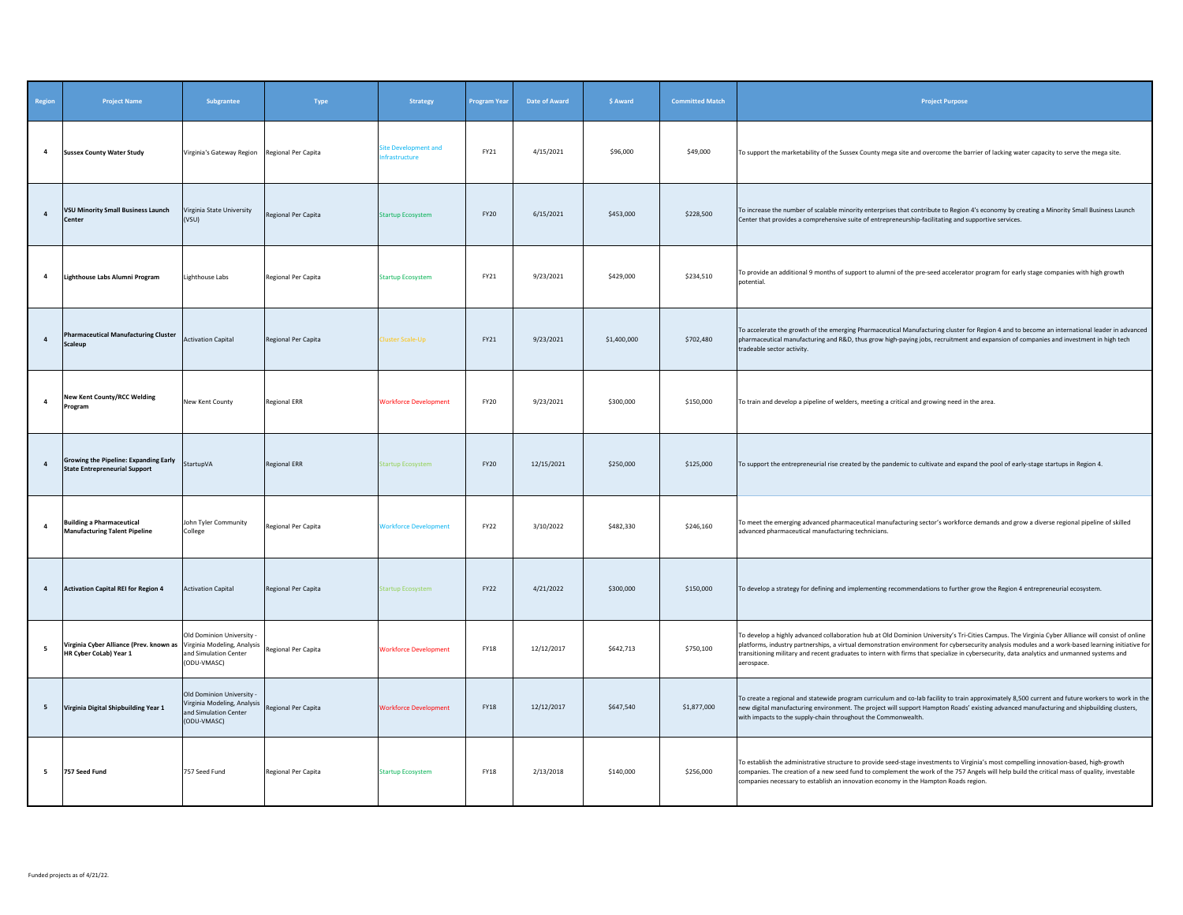| Region         | <b>Project Name</b>                                                                  | Subgrantee                                                                                     | Type                | Strategy                                     | Program Year | Date of Award | \$ Award    | <b>Committed Match</b> | <b>Project Purpose</b>                                                                                                                                                                                                                                                                                                                                                                                                                                             |
|----------------|--------------------------------------------------------------------------------------|------------------------------------------------------------------------------------------------|---------------------|----------------------------------------------|--------------|---------------|-------------|------------------------|--------------------------------------------------------------------------------------------------------------------------------------------------------------------------------------------------------------------------------------------------------------------------------------------------------------------------------------------------------------------------------------------------------------------------------------------------------------------|
| $\overline{a}$ | <b>Sussex County Water Study</b>                                                     | Virginia's Gateway Region Regional Per Capita                                                  |                     | Site Development and<br><b>nfrastructure</b> | FY21         | 4/15/2021     | \$96,000    | \$49,000               | To support the marketability of the Sussex County mega site and overcome the barrier of lacking water capacity to serve the mega site.                                                                                                                                                                                                                                                                                                                             |
| $\overline{4}$ | <b>VSU Minority Small Business Launch</b><br>Center                                  | Virginia State University<br>(VSU)                                                             | Regional Per Capita | <b>Startup Ecosystem</b>                     | <b>FY20</b>  | 6/15/2021     | \$453,000   | \$228,500              | To increase the number of scalable minority enterprises that contribute to Region 4's economy by creating a Minority Small Business Launch<br>Center that provides a comprehensive suite of entrepreneurship-facilitating and supportive services.                                                                                                                                                                                                                 |
| $\overline{4}$ | Lighthouse Labs Alumni Program                                                       | Lighthouse Labs                                                                                | Regional Per Capita | <b>Startup Ecosystem</b>                     | FY21         | 9/23/2021     | \$429,000   | \$234,510              | To provide an additional 9 months of support to alumni of the pre-seed accelerator program for early stage companies with high growth<br>notential.                                                                                                                                                                                                                                                                                                                |
| $\overline{a}$ | <b>Pharmaceutical Manufacturing Cluster</b><br>Scaleup                               | <b>Activation Capital</b>                                                                      | Regional Per Capita | Cluster Scale-Up                             | FY21         | 9/23/2021     | \$1,400,000 | \$702,480              | To accelerate the growth of the emerging Pharmaceutical Manufacturing cluster for Region 4 and to become an international leader in advanced<br>pharmaceutical manufacturing and R&D, thus grow high-paying jobs, recruitment and expansion of companies and investment in high tech<br>tradeable sector activity.                                                                                                                                                 |
| $\overline{a}$ | <b>New Kent County/RCC Welding</b><br>Program                                        | New Kent County                                                                                | Regional ERR        | <b>Workforce Development</b>                 | <b>FY20</b>  | 9/23/2021     | \$300,000   | \$150,000              | To train and develop a pipeline of welders, meeting a critical and growing need in the area.                                                                                                                                                                                                                                                                                                                                                                       |
| $\overline{a}$ | <b>Growing the Pipeline: Expanding Early</b><br><b>State Entrepreneurial Support</b> | StartupVA                                                                                      | <b>Regional ERR</b> | Startup Ecosystem                            | <b>FY20</b>  | 12/15/2021    | \$250,000   | \$125,000              | To support the entrepreneurial rise created by the pandemic to cultivate and expand the pool of early-stage startups in Region 4.                                                                                                                                                                                                                                                                                                                                  |
| $\overline{a}$ | <b>Building a Pharmaceutical</b><br><b>Manufacturing Talent Pipeline</b>             | John Tyler Community<br>College                                                                | Regional Per Capita | <b>Workforce Development</b>                 | FY22         | 3/10/2022     | \$482,330   | \$246,160              | To meet the emerging advanced pharmaceutical manufacturing sector's workforce demands and grow a diverse regional pipeline of skilled<br>advanced pharmaceutical manufacturing technicians.                                                                                                                                                                                                                                                                        |
| $\overline{4}$ | <b>Activation Capital REI for Region 4</b>                                           | <b>Activation Capital</b>                                                                      | Regional Per Capita | <b>itartup Ecosystem</b>                     | FY22         | 4/21/2022     | \$300,000   | \$150,000              | To develop a strategy for defining and implementing recommendations to further grow the Region 4 entrepreneurial ecosystem.                                                                                                                                                                                                                                                                                                                                        |
| 5              | Virginia Cyber Alliance (Prev. known as<br>HR Cyber CoLab) Year 1                    | Old Dominion University<br>Virginia Modeling, Analysis<br>and Simulation Center<br>(ODU-VMASC) | Regional Per Capita | <b>Workforce Development</b>                 | <b>FY18</b>  | 12/12/2017    | \$642,713   | \$750,100              | To develop a highly advanced collaboration hub at Old Dominion University's Tri-Cities Campus. The Virginia Cyber Alliance will consist of online<br>platforms, industry partnerships, a virtual demonstration environment for cybersecurity analysis modules and a work-based learning initiative for<br>transitioning military and recent graduates to intern with firms that specialize in cybersecurity, data analytics and unmanned systems and<br>aerospace. |
| 5              | Virginia Digital Shipbuilding Year 1                                                 | Old Dominion University<br>Virginia Modeling, Analysis<br>and Simulation Center<br>(ODU-VMASC) | Regional Per Capita | <b>Workforce Development</b>                 | <b>FY18</b>  | 12/12/2017    | \$647,540   | \$1,877,000            | To create a regional and statewide program curriculum and co-lab facility to train approximately 8,500 current and future workers to work in the<br>new digital manufacturing environment. The project will support Hampton Roads' existing advanced manufacturing and shipbuilding clusters,<br>with impacts to the supply-chain throughout the Commonwealth.                                                                                                     |
| 5              | 757 Seed Fund                                                                        | 757 Seed Fund                                                                                  | Regional Per Capita | <b>Startup Ecosystem</b>                     | <b>FY18</b>  | 2/13/2018     | \$140,000   | \$256,000              | To establish the administrative structure to provide seed-stage investments to Virginia's most compelling innovation-based, high-growth<br>companies. The creation of a new seed fund to complement the work of the 757 Angels will help build the critical mass of quality, investable<br>companies necessary to establish an innovation economy in the Hampton Roads region.                                                                                     |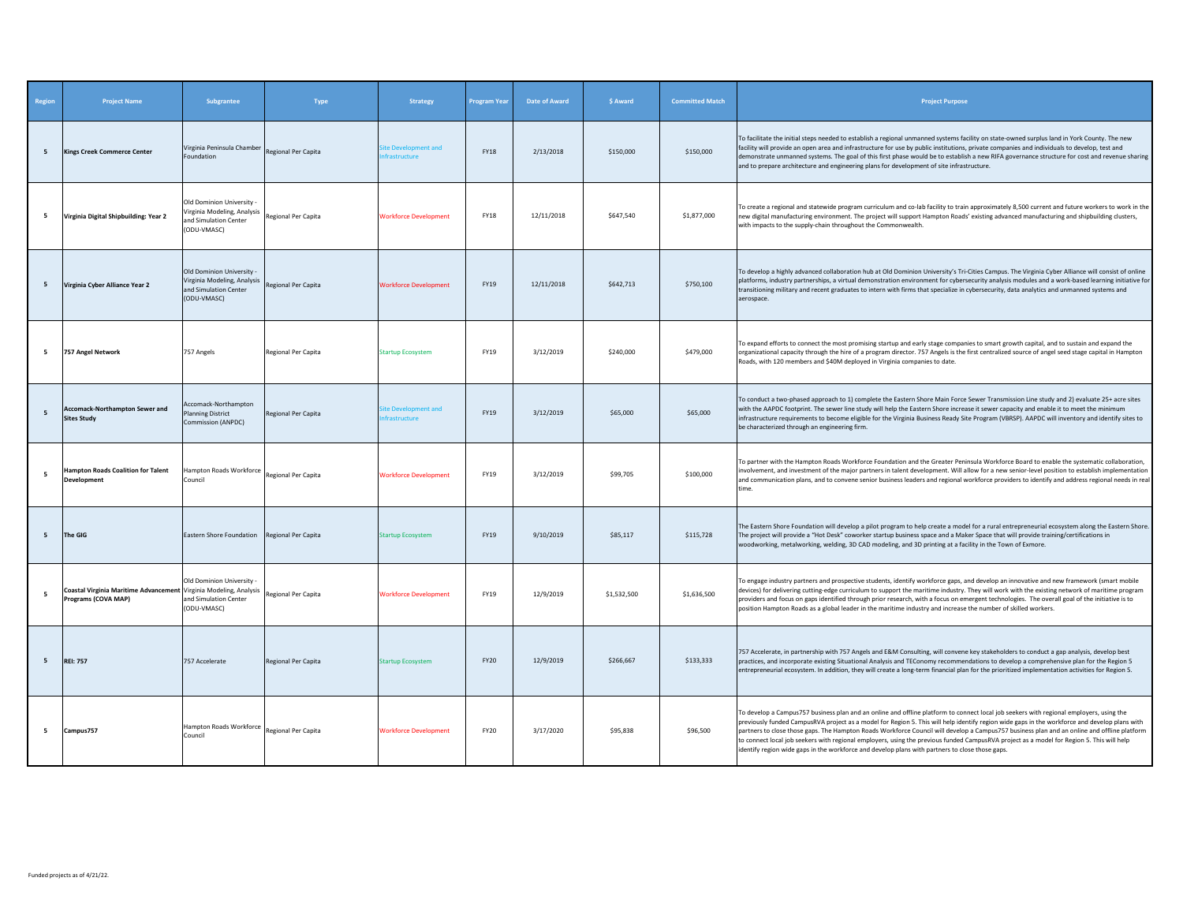| Region          | <b>Project Name</b>                                                                      | Subgrantee                                                                                       | Type                | <b>Strategy</b>                      | Program Year | <b>Date of Award</b> | \$ Award    | <b>Committed Match</b> | <b>Project Purpose</b>                                                                                                                                                                                                                                                                                                                                                                                                                                                                                                                                                                                                                                                                  |
|-----------------|------------------------------------------------------------------------------------------|--------------------------------------------------------------------------------------------------|---------------------|--------------------------------------|--------------|----------------------|-------------|------------------------|-----------------------------------------------------------------------------------------------------------------------------------------------------------------------------------------------------------------------------------------------------------------------------------------------------------------------------------------------------------------------------------------------------------------------------------------------------------------------------------------------------------------------------------------------------------------------------------------------------------------------------------------------------------------------------------------|
| $5\overline{5}$ | <b>Kings Creek Commerce Center</b>                                                       | Virginia Peninsula Chamber<br>Foundation                                                         | Regional Per Capita | lite Development and<br>frastructure | <b>FY18</b>  | 2/13/2018            | \$150,000   | \$150,000              | To facilitate the initial steps needed to establish a regional unmanned systems facility on state-owned surplus land in York County. The new<br>facility will provide an open area and infrastructure for use by public institutions, private companies and individuals to develop, test and<br>demonstrate unmanned systems. The goal of this first phase would be to establish a new RIFA governance structure for cost and revenue sharing<br>and to prepare architecture and engineering plans for development of site infrastructure.                                                                                                                                              |
| 5               | Virginia Digital Shipbuilding: Year 2                                                    | Old Dominion University -<br>Virginia Modeling, Analysis<br>and Simulation Center<br>(ODU-VMASC) | Regional Per Capita | <b>Workforce Development</b>         | <b>FY18</b>  | 12/11/2018           | \$647,540   | \$1,877,000            | To create a regional and statewide program curriculum and co-lab facility to train approximately 8,500 current and future workers to work in the<br>new digital manufacturing environment. The project will support Hampton Roads' existing advanced manufacturing and shipbuilding clusters,<br>with impacts to the supply-chain throughout the Commonwealth.                                                                                                                                                                                                                                                                                                                          |
| 5               | Virginia Cyber Alliance Year 2                                                           | Old Dominion University -<br>Virginia Modeling, Analysis<br>and Simulation Center<br>(ODU-VMASC) | Regional Per Capita | <b>Workforce Development</b>         | FY19         | 12/11/2018           | \$642,713   | \$750,100              | To develop a highly advanced collaboration hub at Old Dominion University's Tri-Cities Campus. The Virginia Cyber Alliance will consist of online<br>platforms, industry partnerships, a virtual demonstration environment for cybersecurity analysis modules and a work-based learning initiative for<br>transitioning military and recent graduates to intern with firms that specialize in cybersecurity, data analytics and unmanned systems and<br>aerospace.                                                                                                                                                                                                                      |
| - 5             | 757 Angel Network                                                                        | 757 Angels                                                                                       | Regional Per Capita | <b>Startup Ecosystem</b>             | FY19         | 3/12/2019            | \$240,000   | \$479,000              | To expand efforts to connect the most promising startup and early stage companies to smart growth capital, and to sustain and expand the<br>organizational capacity through the hire of a program director. 757 Angels is the first centralized source of angel seed stage capital in Hampton<br>Roads, with 120 members and \$40M deployed in Virginia companies to date.                                                                                                                                                                                                                                                                                                              |
| 5               | <b>Accomack-Northampton Sewer and</b><br><b>Sites Study</b>                              | Accomack-Northampton<br><b>Planning District</b><br>Commission (ANPDC)                           | Regional Per Capita | ite Development and<br>frastructure  | FY19         | 3/12/2019            | \$65,000    | \$65,000               | To conduct a two-phased approach to 1) complete the Eastern Shore Main Force Sewer Transmission Line study and 2) evaluate 25+ acre sites<br>with the AAPDC footprint. The sewer line study will help the Eastern Shore increase it sewer capacity and enable it to meet the minimum<br>infrastructure requirements to become eligible for the Virginia Business Ready Site Program (VBRSP). AAPDC will inventory and identify sites to<br>be characterized through an engineering firm.                                                                                                                                                                                                |
| 5               | <b>Hampton Roads Coalition for Talent</b><br>Development                                 | Hampton Roads Workforce<br>Council                                                               | Regional Per Capita | <b>Workforce Development</b>         | FY19         | 3/12/2019            | \$99,705    | \$100,000              | To partner with the Hampton Roads Workforce Foundation and the Greater Peninsula Workforce Board to enable the systematic collaboration,<br>nvolvement, and investment of the major partners in talent development. Will allow for a new senior-level position to establish implementation<br>and communication plans, and to convene senior business leaders and regional workforce providers to identify and address regional needs in real<br>time.                                                                                                                                                                                                                                  |
| 5               | The GIG                                                                                  | Eastern Shore Foundation                                                                         | Regional Per Capita | <b>Startup Ecosystem</b>             | <b>FY19</b>  | 9/10/2019            | \$85,117    | \$115,728              | The Eastern Shore Foundation will develop a pilot program to help create a model for a rural entrepreneurial ecosystem along the Eastern Shore.<br>The project will provide a "Hot Desk" coworker startup business space and a Maker Space that will provide training/certifications in<br>woodworking, metalworking, welding, 3D CAD modeling, and 3D printing at a facility in the Town of Exmore.                                                                                                                                                                                                                                                                                    |
| 5               | Coastal Virginia Maritime Advancement Virginia Modeling, Analysis<br>Programs (COVA MAP) | Old Dominion University -<br>and Simulation Center<br>(ODU-VMASC)                                | Regional Per Capita | <b>Workforce Development</b>         | FY19         | 12/9/2019            | \$1,532,500 | \$1,636,500            | To engage industry partners and prospective students, identify workforce gaps, and develop an innovative and new framework (smart mobile<br>devices) for delivering cutting-edge curriculum to support the maritime industry. They will work with the existing network of maritime program<br>providers and focus on gaps identified through prior research, with a focus on emergent technologies. The overall goal of the initiative is to<br>position Hampton Roads as a global leader in the maritime industry and increase the number of skilled workers.                                                                                                                          |
| 5               | <b>REI: 757</b>                                                                          | 757 Accelerate                                                                                   | Regional Per Capita | <b>Startup Ecosystem</b>             | <b>FY20</b>  | 12/9/2019            | \$266,667   | \$133,333              | 757 Accelerate, in partnership with 757 Angels and E&M Consulting, will convene key stakeholders to conduct a gap analysis, develop best<br>practices, and incorporate existing Situational Analysis and TEConomy recommendations to develop a comprehensive plan for the Region 5<br>entrepreneurial ecosystem. In addition, they will create a long-term financial plan for the prioritized implementation activities for Region 5.                                                                                                                                                                                                                                                   |
| 5               | Campus757                                                                                | Hampton Roads Workforce Regional Per Capita<br>Council                                           |                     | <b>Workforce Development</b>         | FY20         | 3/17/2020            | \$95,838    | \$96,500               | To develop a Campus757 business plan and an online and offline platform to connect local job seekers with regional employers, using the<br>previously funded CampusRVA project as a model for Region 5. This will help identify region wide gaps in the workforce and develop plans with<br>partners to close those gaps. The Hampton Roads Workforce Council will develop a Campus757 business plan and an online and offline platform<br>to connect local job seekers with regional employers, using the previous funded CampusRVA project as a model for Region 5. This will help<br>identify region wide gaps in the workforce and develop plans with partners to close those gaps. |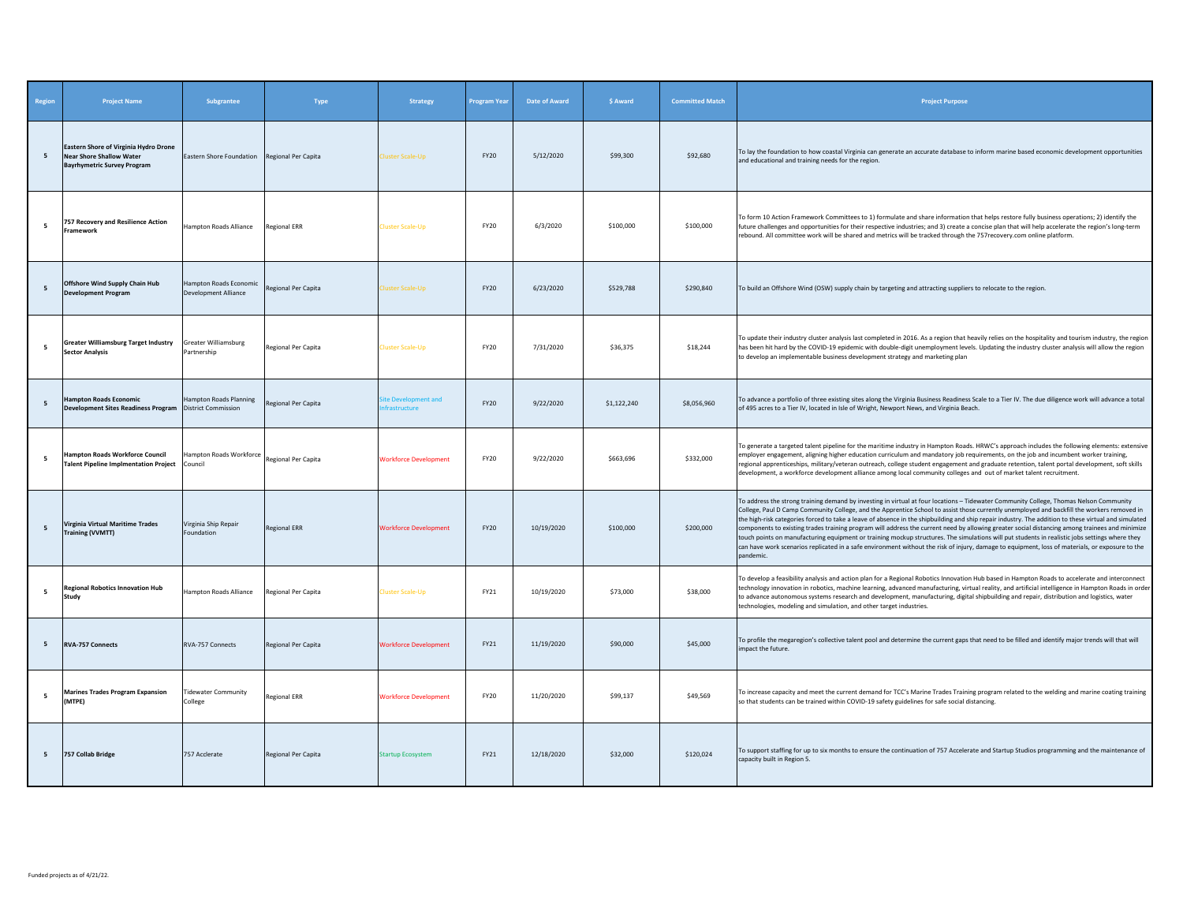| Region      | <b>Project Name</b>                                                                                            | Subgrantee                                             | Type                | Strategy                          | Program Year | Date of Award | \$ Award    | <b>Committed Match</b> | <b>Project Purpose</b>                                                                                                                                                                                                                                                                                                                                                                                                                                                                                                                                                                                                                                                                                                                                                                                                                                                                                           |
|-------------|----------------------------------------------------------------------------------------------------------------|--------------------------------------------------------|---------------------|-----------------------------------|--------------|---------------|-------------|------------------------|------------------------------------------------------------------------------------------------------------------------------------------------------------------------------------------------------------------------------------------------------------------------------------------------------------------------------------------------------------------------------------------------------------------------------------------------------------------------------------------------------------------------------------------------------------------------------------------------------------------------------------------------------------------------------------------------------------------------------------------------------------------------------------------------------------------------------------------------------------------------------------------------------------------|
| 5           | Eastern Shore of Virginia Hydro Drone<br><b>Near Shore Shallow Water</b><br><b>Bayrhymetric Survey Program</b> | Eastern Shore Foundation                               | Regional Per Capita | luster Scale-Up                   | <b>FY20</b>  | 5/12/2020     | \$99,300    | \$92,680               | To lay the foundation to how coastal Virginia can generate an accurate database to inform marine based economic development opportunities<br>and educational and training needs for the region.                                                                                                                                                                                                                                                                                                                                                                                                                                                                                                                                                                                                                                                                                                                  |
| - 5         | 757 Recovery and Resilience Action<br><b>Framework</b>                                                         | Hampton Roads Alliance                                 | <b>Regional ERR</b> | Cluster Scale-Up                  | FY20         | 6/3/2020      | \$100,000   | \$100,000              | To form 10 Action Framework Committees to 1) formulate and share information that helps restore fully business operations; 2) identify the<br>future challenges and opportunities for their respective industries; and 3) create a concise plan that will help accelerate the region's long-term<br>rebound. All committee work will be shared and metrics will be tracked through the 757recovery.com online platform.                                                                                                                                                                                                                                                                                                                                                                                                                                                                                          |
| -5          | Offshore Wind Supply Chain Hub<br><b>Development Program</b>                                                   | Hampton Roads Economic<br><b>Development Alliance</b>  | Regional Per Capita | luster Scale-Up                   | FY20         | 6/23/2020     | \$529,788   | \$290,840              | To build an Offshore Wind (OSW) supply chain by targeting and attracting suppliers to relocate to the region.                                                                                                                                                                                                                                                                                                                                                                                                                                                                                                                                                                                                                                                                                                                                                                                                    |
| 5           | <b>Greater Williamsburg Target Industry</b><br><b>Sector Analysis</b>                                          | Greater Williamsburg<br>Partnership                    | Regional Per Capita | Cluster Scale-Up                  | FY20         | 7/31/2020     | \$36,375    | \$18,244               | To update their industry cluster analysis last completed in 2016. As a region that heavily relies on the hospitality and tourism industry, the region<br>has been hit hard by the COVID-19 epidemic with double-digit unemployment levels. Updating the industry cluster analysis will allow the region<br>to develop an implementable business development strategy and marketing plan                                                                                                                                                                                                                                                                                                                                                                                                                                                                                                                          |
| 5           | <b>Hampton Roads Economic</b><br>Development Sites Readiness Program                                           | Hampton Roads Planning<br><b>District Commission</b>   | Regional Per Capita | te Development and<br>rastructure | <b>FY20</b>  | 9/22/2020     | \$1,122,240 | \$8,056,960            | To advance a portfolio of three existing sites along the Virginia Business Readiness Scale to a Tier IV. The due diligence work will advance a total<br>of 495 acres to a Tier IV, located in Isle of Wright, Newport News, and Virginia Beach.                                                                                                                                                                                                                                                                                                                                                                                                                                                                                                                                                                                                                                                                  |
| 5           | <b>Hampton Roads Workforce Council</b><br><b>Talent Pipeline Implmentation Project</b>                         | Hampton Roads Workforce Regional Per Capita<br>Council |                     | <b>Workforce Development</b>      | <b>FY20</b>  | 9/22/2020     | \$663,696   | \$332,000              | To generate a targeted talent pipeline for the maritime industry in Hampton Roads. HRWC's approach includes the following elements: extensive<br>employer engagement, aligning higher education curriculum and mandatory job requirements, on the job and incumbent worker training,<br>regional apprenticeships, military/veteran outreach, college student engagement and graduate retention, talent portal development, soft skills<br>development, a workforce development alliance among local community colleges and out of market talent recruitment.                                                                                                                                                                                                                                                                                                                                                     |
| 5           | <b>Virginia Virtual Maritime Trades</b><br><b>Training (VVMTT)</b>                                             | Virginia Ship Repair<br>Foundation                     | <b>Regional ERR</b> | <b>Workforce Development</b>      | <b>FY20</b>  | 10/19/2020    | \$100,000   | \$200,000              | To address the strong training demand by investing in virtual at four locations - Tidewater Community College, Thomas Nelson Community<br>College, Paul D Camp Community College, and the Apprentice School to assist those currently unemployed and backfill the workers removed in<br>the high-risk categories forced to take a leave of absence in the shipbuilding and ship repair industry. The addition to these virtual and simulated<br>components to existing trades training program will address the current need by allowing greater social distancing among trainees and minimize<br>touch points on manufacturing equipment or training mockup structures. The simulations will put students in realistic jobs settings where they<br>can have work scenarios replicated in a safe environment without the risk of injury, damage to equipment, loss of materials, or exposure to the<br>pandemic. |
| 5           | <b>Regional Robotics Innovation Hub</b><br>Study                                                               | Hampton Roads Alliance                                 | Regional Per Capita | Cluster Scale-Up                  | FY21         | 10/19/2020    | \$73,000    | \$38,000               | To develop a feasibility analysis and action plan for a Regional Robotics Innovation Hub based in Hampton Roads to accelerate and interconnect<br>technology innovation in robotics, machine learning, advanced manufacturing, virtual reality, and artificial intelligence in Hampton Roads in order<br>to advance autonomous systems research and development, manufacturing, digital shipbuilding and repair, distribution and logistics, water<br>technologies, modeling and simulation, and other target industries.                                                                                                                                                                                                                                                                                                                                                                                        |
| 5           | <b>RVA-757 Connects</b>                                                                                        | RVA-757 Connects                                       | Regional Per Capita | <b>Workforce Development</b>      | FY21         | 11/19/2020    | \$90,000    | \$45,000               | To profile the megaregion's collective talent pool and determine the current gaps that need to be filled and identify major trends will that will<br>impact the future.                                                                                                                                                                                                                                                                                                                                                                                                                                                                                                                                                                                                                                                                                                                                          |
| $5^{\circ}$ | <b>Marines Trades Program Expansion</b><br>(MTPE)                                                              | <b>Fidewater Community</b><br>College                  | <b>Regional ERR</b> | <b>Workforce Development</b>      | <b>FY20</b>  | 11/20/2020    | \$99,137    | \$49,569               | To increase capacity and meet the current demand for TCC's Marine Trades Training program related to the welding and marine coating training<br>so that students can be trained within COVID-19 safety guidelines for safe social distancing.                                                                                                                                                                                                                                                                                                                                                                                                                                                                                                                                                                                                                                                                    |
| 5           | 757 Collab Bridge                                                                                              | 757 Acclerate                                          | Regional Per Capita | <b>Startup Ecosystem</b>          | FY21         | 12/18/2020    | \$32,000    | \$120,024              | To support staffing for up to six months to ensure the continuation of 757 Accelerate and Startup Studios programming and the maintenance of<br>capacity built in Region 5.                                                                                                                                                                                                                                                                                                                                                                                                                                                                                                                                                                                                                                                                                                                                      |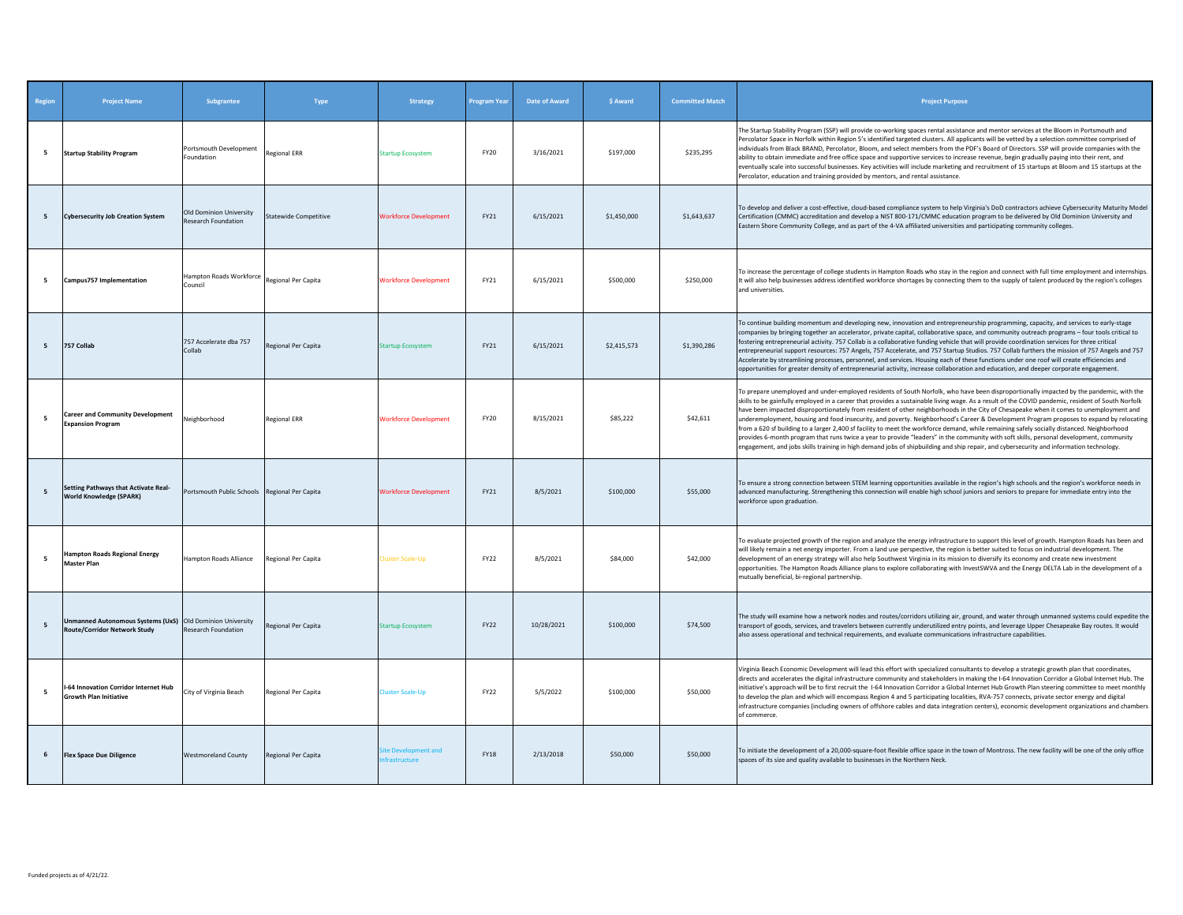| Region         | <b>Project Name</b>                                                                       | <b>Subgrantee</b>                              | Type                         | <b>Strategy</b>                     | <b>Program Year</b> | Date of Award | \$ Award    | <b>Committed Match</b> | <b>Project Purpose</b>                                                                                                                                                                                                                                                                                                                                                                                                                                                                                                                                                                                                                                                                                                                                                                                                                                                                                                                                                                                                |
|----------------|-------------------------------------------------------------------------------------------|------------------------------------------------|------------------------------|-------------------------------------|---------------------|---------------|-------------|------------------------|-----------------------------------------------------------------------------------------------------------------------------------------------------------------------------------------------------------------------------------------------------------------------------------------------------------------------------------------------------------------------------------------------------------------------------------------------------------------------------------------------------------------------------------------------------------------------------------------------------------------------------------------------------------------------------------------------------------------------------------------------------------------------------------------------------------------------------------------------------------------------------------------------------------------------------------------------------------------------------------------------------------------------|
| 5              | <b>Startup Stability Program</b>                                                          | Portsmouth Development<br>Foundation           | <b>Regional ERR</b>          | <b>Startup Ecosystem</b>            | <b>FY20</b>         | 3/16/2021     | \$197,000   | \$235,295              | The Startup Stability Program (SSP) will provide co-working spaces rental assistance and mentor services at the Bloom in Portsmouth and<br>Percolator Space in Norfolk within Region 5's identified targeted clusters. All applicants will be vetted by a selection committee comprised of<br>individuals from Black BRAND, Percolator, Bloom, and select members from the PDF's Board of Directors. SSP will provide companies with the<br>ability to obtain immediate and free office space and supportive services to increase revenue, begin gradually paying into their rent, and<br>eventually scale into successful businesses. Key activities will include marketing and recruitment of 15 startups at Bloom and 15 startups at the<br>Percolator, education and training provided by mentors, and rental assistance.                                                                                                                                                                                         |
| 5              | <b>Cybersecurity Job Creation System</b>                                                  | Old Dominion University<br>Research Foundation | <b>Statewide Competitive</b> | <b>Workforce Development</b>        | FY21                | 6/15/2021     | \$1,450,000 | \$1,643,637            | To develop and deliver a cost-effective, cloud-based compliance system to help Virginia's DoD contractors achieve Cybersecurity Maturity Model<br>Certification (CMMC) accreditation and develop a NIST 800-171/CMMC education program to be delivered by Old Dominion University and<br>Eastern Shore Community College, and as part of the 4-VA affiliated universities and participating community colleges.                                                                                                                                                                                                                                                                                                                                                                                                                                                                                                                                                                                                       |
| - 5            | Campus757 Implementation                                                                  | Hampton Roads Workforce<br>Council             | Regional Per Capita          | <b>Norkforce Development</b>        | FY21                | 6/15/2021     | \$500,000   | \$250,000              | To increase the percentage of college students in Hampton Roads who stay in the region and connect with full time employment and internships<br>It will also help businesses address identified workforce shortages by connecting them to the supply of talent produced by the region's colleges<br>and universities.                                                                                                                                                                                                                                                                                                                                                                                                                                                                                                                                                                                                                                                                                                 |
| 5 <sup>5</sup> | 757 Collab                                                                                | 757 Accelerate dba 757<br>Collab               | Regional Per Capita          | <b>Startup Ecosystem</b>            | FY21                | 6/15/2021     | \$2,415,573 | \$1,390,286            | To continue building momentum and developing new, innovation and entrepreneurship programming, capacity, and services to early-stage<br>companies by bringing together an accelerator, private capital, collaborative space, and community outreach programs - four tools critical to<br>fostering entrepreneurial activity. 757 Collab is a collaborative funding vehicle that will provide coordination services for three critical<br>entrepreneurial support resources: 757 Angels, 757 Accelerate, and 757 Startup Studios. 757 Collab furthers the mission of 757 Angels and 757<br>Accelerate by streamlining processes, personnel, and services. Housing each of these functions under one roof will create efficiencies and<br>opportunities for greater density of entrepreneurial activity, increase collaboration and education, and deeper corporate engagement.                                                                                                                                         |
| -5             | <b>Career and Community Development</b><br><b>Expansion Program</b>                       | Neighborhood                                   | <b>Regional ERR</b>          | <b>Workforce Development</b>        | FY20                | 8/15/2021     | \$85,222    | \$42,611               | To prepare unemployed and under-employed residents of South Norfolk, who have been disproportionally impacted by the pandemic, with the<br>skills to be gainfully employed in a career that provides a sustainable living wage. As a result of the COVID pandemic, resident of South Norfolk<br>have been impacted disproportionately from resident of other neighborhoods in the City of Chesapeake when it comes to unemployment and<br>underemployment, housing and food insecurity, and poverty. Neighborhood's Career & Development Program proposes to expand by relocating<br>from a 620 sf building to a larger 2,400 sf facility to meet the workforce demand, while remaining safely socially distanced. Neighborhood<br>provides 6-month program that runs twice a year to provide "leaders" in the community with soft skills, personal development, community<br>engagement, and jobs skills training in high demand jobs of shipbuilding and ship repair, and cybersecurity and information technology. |
| 5              | Setting Pathways that Activate Real-<br><b>World Knowledge (SPARK)</b>                    | Portsmouth Public Schools Regional Per Capita  |                              | <b>Workforce Development</b>        | FY21                | 8/5/2021      | \$100,000   | \$55,000               | To ensure a strong connection between STEM learning opportunities available in the region's high schools and the region's workforce needs in<br>advanced manufacturing. Strengthening this connection will enable high school juniors and seniors to prepare for immediate entry into the<br>workforce upon graduation.                                                                                                                                                                                                                                                                                                                                                                                                                                                                                                                                                                                                                                                                                               |
| -5             | <b>Hampton Roads Regional Energy</b><br><b>Master Plan</b>                                | Hampton Roads Alliance                         | Regional Per Capita          | Cluster Scale-Up                    | FY22                | 8/5/2021      | \$84,000    | \$42,000               | To evaluate projected growth of the region and analyze the energy infrastructure to support this level of growth. Hampton Roads has been and<br>will likely remain a net energy importer. From a land use perspective, the region is better suited to focus on industrial development. The<br>development of an energy strategy will also help Southwest Virginia in its mission to diversify its economy and create new investment<br>opportunities. The Hampton Roads Alliance plans to explore collaborating with InvestSWVA and the Energy DELTA Lab in the development of a<br>mutually beneficial, bi-regional partnership.                                                                                                                                                                                                                                                                                                                                                                                     |
| 5              | Inmanned Autonomous Systems (UxS) Old Dominion University<br>Route/Corridor Network Study | <b>Research Foundation</b>                     | Regional Per Capita          | <b>Startup Ecosystem</b>            | <b>FY22</b>         | 10/28/2021    | \$100,000   | \$74,500               | The study will examine how a network nodes and routes/corridors utilizing air, ground, and water through unmanned systems could expedite the<br>transport of goods, services, and travelers between currently underutilized entry points, and leverage Upper Chesapeake Bay routes. It would<br>also assess operational and technical requirements, and evaluate communications infrastructure capabilities.                                                                                                                                                                                                                                                                                                                                                                                                                                                                                                                                                                                                          |
| - 5            | -64 Innovation Corridor Internet Hub<br><b>Growth Plan Initiative</b>                     | City of Virginia Beach                         | Regional Per Capita          | luster Scale-Up                     | FY22                | 5/5/2022      | \$100,000   | \$50,000               | Virginia Beach Economic Development will lead this effort with specialized consultants to develop a strategic growth plan that coordinates,<br>directs and accelerates the digital infrastructure community and stakeholders in making the I-64 Innovation Corridor a Global Internet Hub. The<br>initiative's approach will be to first recruit the 1-64 Innovation Corridor a Global Internet Hub Growth Plan steering committee to meet monthly<br>to develop the plan and which will encompass Region 4 and 5 participating localities, RVA-757 connects, private sector energy and digital<br>infrastructure companies (including owners of offshore cables and data integration centers), economic development organizations and chambers<br>of commerce.                                                                                                                                                                                                                                                       |
| 6              | <b>Flex Space Due Diligence</b>                                                           | <b>Westmoreland County</b>                     | Regional Per Capita          | ite Development and<br>frastructure | <b>FY18</b>         | 2/13/2018     | \$50,000    | \$50,000               | To initiate the development of a 20,000-square-foot flexible office space in the town of Montross. The new facility will be one of the only office<br>spaces of its size and quality available to businesses in the Northern Neck.                                                                                                                                                                                                                                                                                                                                                                                                                                                                                                                                                                                                                                                                                                                                                                                    |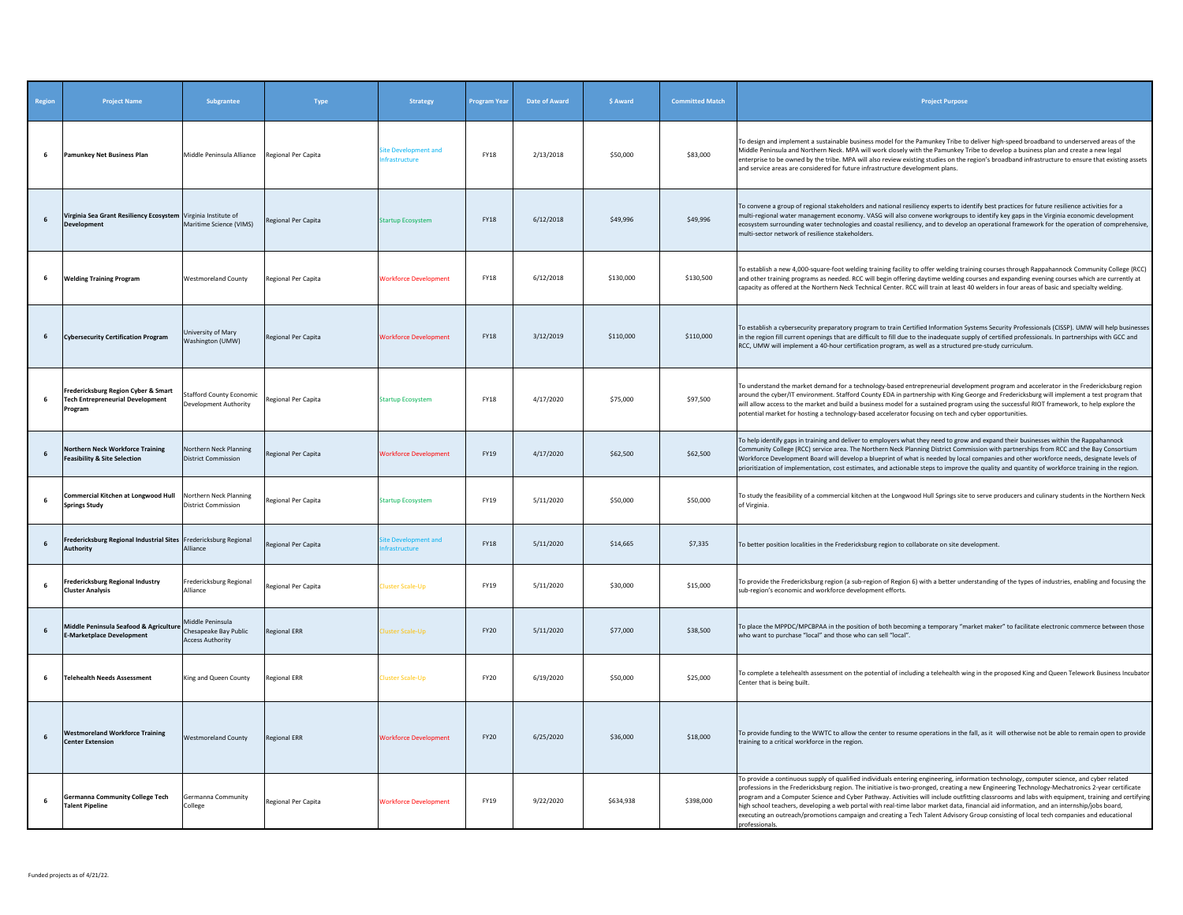| Region | <b>Project Name</b>                                                                       | Subgrantee                                                           | Type                | <b>Strategy</b>                     | <b>Program Year</b> | Date of Award | \$ Award  | <b>Committed Match</b> | <b>Project Purpose</b>                                                                                                                                                                                                                                                                                                                                                                                                                                                                                                                                                                                                                                                                                                                                  |
|--------|-------------------------------------------------------------------------------------------|----------------------------------------------------------------------|---------------------|-------------------------------------|---------------------|---------------|-----------|------------------------|---------------------------------------------------------------------------------------------------------------------------------------------------------------------------------------------------------------------------------------------------------------------------------------------------------------------------------------------------------------------------------------------------------------------------------------------------------------------------------------------------------------------------------------------------------------------------------------------------------------------------------------------------------------------------------------------------------------------------------------------------------|
| 6      | Pamunkey Net Business Plan                                                                | Middle Peninsula Alliance                                            | Regional Per Capita | ite Development and<br>frastructure | FY18                | 2/13/2018     | \$50,000  | \$83,000               | To design and implement a sustainable business model for the Pamunkey Tribe to deliver high-speed broadband to underserved areas of the<br>Middle Peninsula and Northern Neck. MPA will work closely with the Pamunkey Tribe to develop a business plan and create a new legal<br>enterprise to be owned by the tribe. MPA will also review existing studies on the region's broadband infrastructure to ensure that existing assets<br>and service areas are considered for future infrastructure development plans.                                                                                                                                                                                                                                   |
| 6      | Virginia Sea Grant Resiliency Ecosystem Virginia Institute of<br><b>Development</b>       | Maritime Science (VIMS)                                              | Regional Per Capita | <b>Startup Ecosystem</b>            | <b>FY18</b>         | 6/12/2018     | \$49,996  | \$49,996               | To convene a group of regional stakeholders and national resiliency experts to identify best practices for future resilience activities for a<br>multi-regional water management economy. VASG will also convene workgroups to identify key gaps in the Virginia economic development<br>ecosystem surrounding water technologies and coastal resiliency, and to develop an operational framework for the operation of comprehensive,<br>multi-sector network of resilience stakeholders.                                                                                                                                                                                                                                                               |
| 6      | <b>Welding Training Program</b>                                                           | <b>Westmoreland County</b>                                           | Regional Per Capita | <b>Workforce Development</b>        | <b>FY18</b>         | 6/12/2018     | \$130,000 | \$130,500              | To establish a new 4,000-square-foot welding training facility to offer welding training courses through Rappahannock Community College (RCC)<br>and other training programs as needed. RCC will begin offering daytime welding courses and expanding evening courses which are currently at<br>capacity as offered at the Northern Neck Technical Center. RCC will train at least 40 welders in four areas of basic and specialty welding.                                                                                                                                                                                                                                                                                                             |
| 6      | <b>Cybersecurity Certification Program</b>                                                | University of Mary<br>Washington (UMW)                               | Regional Per Capita | <b>Workforce Development</b>        | <b>FY18</b>         | 3/12/2019     | \$110,000 | \$110,000              | To establish a cybersecurity preparatory program to train Certified Information Systems Security Professionals (CISSP). UMW will help businesses<br>in the region fill current openings that are difficult to fill due to the inadequate supply of certified professionals. In partnerships with GCC and<br>RCC, UMW will implement a 40-hour certification program, as well as a structured pre-study curriculum.                                                                                                                                                                                                                                                                                                                                      |
| 6      | Fredericksburg Region Cyber & Smart<br><b>Tech Entrepreneurial Development</b><br>Program | <b>Stafford County Economic</b><br>Development Authority             | Regional Per Capita | Startup Ecosystem                   | <b>FY18</b>         | 4/17/2020     | \$75,000  | \$97,500               | To understand the market demand for a technology-based entrepreneurial development program and accelerator in the Fredericksburg region<br>around the cyber/IT environment. Stafford County EDA in partnership with King George and Fredericksburg will implement a test program that<br>will allow access to the market and build a business model for a sustained program using the successful RIOT framework, to help explore the<br>potential market for hosting a technology-based accelerator focusing on tech and cyber opportunities.                                                                                                                                                                                                           |
| 6      | <b>Northern Neck Workforce Training</b><br><b>Feasibility &amp; Site Selection</b>        | Northern Neck Planning<br><b>District Commission</b>                 | Regional Per Capita | <b>Workforce Development</b>        | <b>FY19</b>         | 4/17/2020     | \$62,500  | \$62,500               | To help identify gaps in training and deliver to employers what they need to grow and expand their businesses within the Rappahannock<br>Community College (RCC) service area. The Northern Neck Planning District Commission with partnerships from RCC and the Bay Consortium<br>Workforce Development Board will develop a blueprint of what is needed by local companies and other workforce needs, designate levels of<br>prioritization of implementation, cost estimates, and actionable steps to improve the quality and quantity of workforce training in the region.                                                                                                                                                                          |
| 6      | Commercial Kitchen at Longwood Hull<br><b>Springs Study</b>                               | Northern Neck Planning<br><b>District Commission</b>                 | Regional Per Capita | <b>Startup Ecosystem</b>            | FY19                | 5/11/2020     | \$50,000  | \$50,000               | To study the feasibility of a commercial kitchen at the Longwood Hull Springs site to serve producers and culinary students in the Northern Neck<br>of Virginia.                                                                                                                                                                                                                                                                                                                                                                                                                                                                                                                                                                                        |
| 6      | Fredericksburg Regional Industrial Sites Fredericksburg Regional<br><b>Authority</b>      | Alliance                                                             | Regional Per Capita | te Development and<br>frastructure  | FY18                | 5/11/2020     | \$14,665  | \$7,335                | To better position localities in the Fredericksburg region to collaborate on site development.                                                                                                                                                                                                                                                                                                                                                                                                                                                                                                                                                                                                                                                          |
| 6      | <b>Fredericksburg Regional Industry</b><br><b>Cluster Analysis</b>                        | Fredericksburg Regional<br>Alliance                                  | Regional Per Capita | luster Scale-Up                     | FY19                | 5/11/2020     | \$30,000  | \$15,000               | To provide the Fredericksburg region (a sub-region of Region 6) with a better understanding of the types of industries, enabling and focusing the<br>sub-region's economic and workforce development efforts.                                                                                                                                                                                                                                                                                                                                                                                                                                                                                                                                           |
| 6      | Middle Peninsula Seafood & Agriculture<br><b>E-Marketplace Development</b>                | Middle Peninsula<br>Chesapeake Bay Public<br><b>Access Authority</b> | <b>Regional ERR</b> | luster Scale-Up                     | <b>FY20</b>         | 5/11/2020     | \$77,000  | \$38,500               | To place the MPPDC/MPCBPAA in the position of both becoming a temporary "market maker" to facilitate electronic commerce between those<br>who want to purchase "local" and those who can sell "local".                                                                                                                                                                                                                                                                                                                                                                                                                                                                                                                                                  |
| 6      | <b>Telehealth Needs Assessment</b>                                                        | King and Queen County                                                | <b>Regional ERR</b> | luster Scale-Up                     | FY20                | 6/19/2020     | \$50,000  | \$25,000               | To complete a telehealth assessment on the potential of including a telehealth wing in the proposed King and Queen Telework Business Incubator<br>Center that is being built.                                                                                                                                                                                                                                                                                                                                                                                                                                                                                                                                                                           |
| 6      | <b>Westmoreland Workforce Training</b><br><b>Center Extension</b>                         | <b>Westmoreland County</b>                                           | <b>Regional ERR</b> | <b>Workforce Development</b>        | FY20                | 6/25/2020     | \$36,000  | \$18,000               | To provide funding to the WWTC to allow the center to resume operations in the fall, as it will otherwise not be able to remain open to provide<br>training to a critical workforce in the region.                                                                                                                                                                                                                                                                                                                                                                                                                                                                                                                                                      |
| 6      | Germanna Community College Tech<br><b>Talent Pipeline</b>                                 | Germanna Community<br>College                                        | Regional Per Capita | <b>Workforce Development</b>        | FY19                | 9/22/2020     | \$634,938 | \$398,000              | To provide a continuous supply of qualified individuals entering engineering, information technology, computer science, and cyber related<br>professions in the Fredericksburg region. The initiative is two-pronged, creating a new Engineering Technology-Mechatronics 2-year certificate<br>program and a Computer Science and Cyber Pathway. Activities will include outfitting classrooms and labs with equipment, training and certifying<br>high school teachers, developing a web portal with real-time labor market data, financial aid information, and an internship/jobs board,<br>executing an outreach/promotions campaign and creating a Tech Talent Advisory Group consisting of local tech companies and educational<br>professionals. |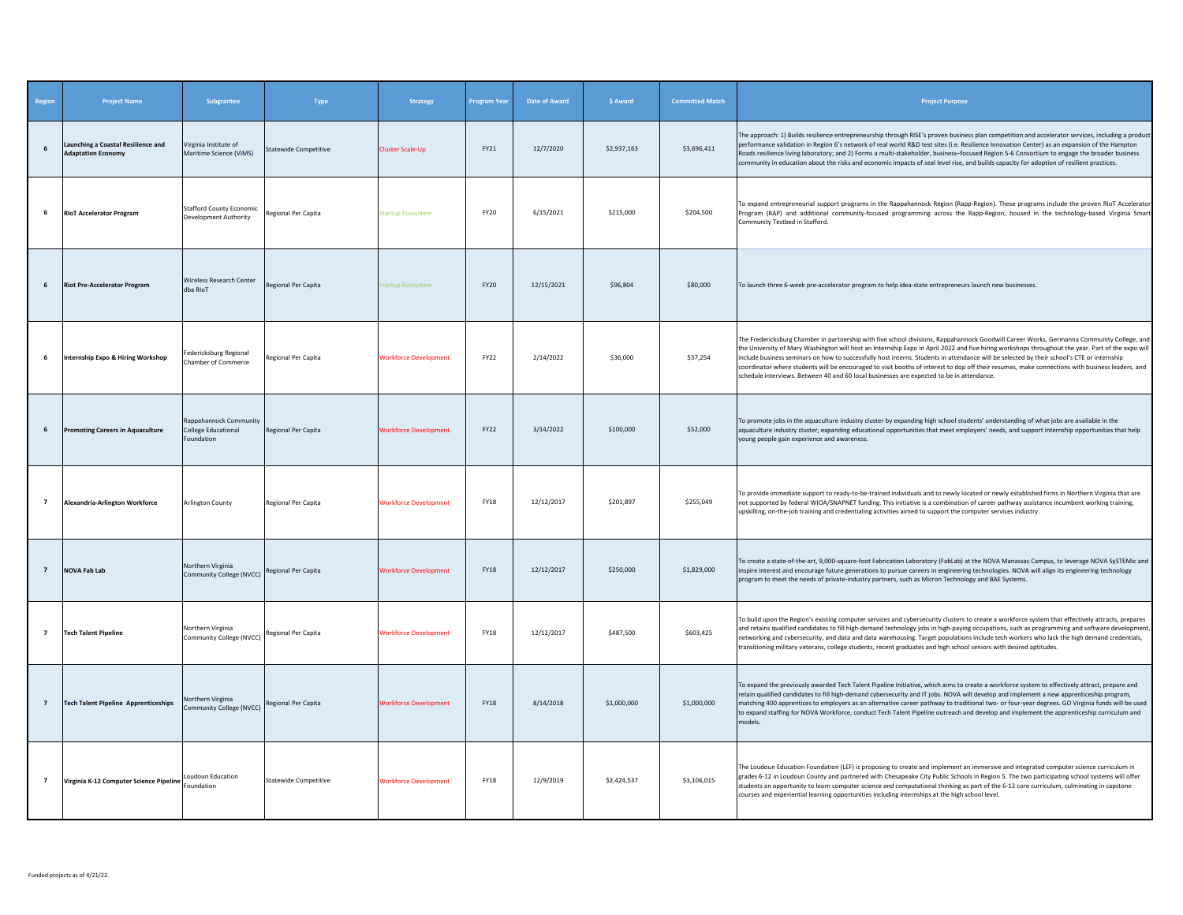| Region         | <b>Project Name</b>                                             | Subgrantee                                                  | Type                         | <b>Strategy</b>              | Program Yea | <b>Date of Award</b> | \$ Award    | <b>Committed Match</b> | <b>Project Purpose</b>                                                                                                                                                                                                                                                                                                                                                                                                                                                                                                                                                                                                                                                                       |
|----------------|-----------------------------------------------------------------|-------------------------------------------------------------|------------------------------|------------------------------|-------------|----------------------|-------------|------------------------|----------------------------------------------------------------------------------------------------------------------------------------------------------------------------------------------------------------------------------------------------------------------------------------------------------------------------------------------------------------------------------------------------------------------------------------------------------------------------------------------------------------------------------------------------------------------------------------------------------------------------------------------------------------------------------------------|
| 6              | Launching a Coastal Resilience and<br><b>Adaptation Economy</b> | Virginia Institute of<br>Maritime Science (VIMS)            | <b>Statewide Competitive</b> | Cluster Scale-Up             | FY21        | 12/7/2020            | \$2,937.163 | \$3,696,411            | The approach: 1) Builds resilience entrepreneurship through RISE's proven business plan competition and accelerator services, including a produc<br>performance validation in Region 6's network of real world R&D test sites (i.e. Resilience Innovation Center) as an expansion of the Hampton<br>Roads resilience living laboratory; and 2) Forms a multi-stakeholder, business-focused Region 5-6 Consortium to engage the broader business<br>community in education about the risks and economic impacts of seal level rise, and builds capacity for adoption of resilient practices.                                                                                                  |
| 6              | <b>RIoT Accelerator Program</b>                                 | <b>Stafford County Economic</b><br>Development Authority    | Regional Per Capita          | Startup Ecosystem            | <b>FY20</b> | 6/15/2021            | \$215,000   | \$204,500              | To expand entrepreneurial support programs in the Rappahannock Region (Rapp-Region). These programs include the proven RIoT Accelerato<br>Program (RAP) and additional community-focused programming across the Rapp-Region, housed in the technology-based Virginia Smar<br>Community Testbed in Stafford.                                                                                                                                                                                                                                                                                                                                                                                  |
| 6              | <b>Riot Pre-Accelerator Program</b>                             | Wireless Research Center<br>dba RIoT                        | Regional Per Capita          | <b>itartup Ecosystem</b>     | <b>FY20</b> | 12/15/2021           | \$96,804    | \$80,000               | To launch three 6-week pre-accelerator program to help idea-state entrepreneurs launch new businesses.                                                                                                                                                                                                                                                                                                                                                                                                                                                                                                                                                                                       |
| 6              | Internship Expo & Hiring Workshop                               | edericksburg Regional<br>Chamber of Commerce                | Regional Per Capita          | <b>Workforce Development</b> | FY22        | 2/14/2022            | \$36,000    | \$37,254               | The Fredericksburg Chamber in partnership with five school divisions, Rappahannock Goodwill Career Works, Germanna Community College, and<br>the University of Mary Washington will host an Internship Expo in April 2022 and five hiring workshops throughout the year. Part of the expo will<br>include business seminars on how to successfully host interns. Students in attendance will be selected by their school's CTE or internship<br>coordinator where students will be encouraged to visit booths of interest to dop off their resumes, make connections with business leaders, and<br>schedule interviews. Between 40 and 60 local businesses are expected to be in attendance. |
| 6              | <b>Promoting Careers in Aquaculture</b>                         | Rappahannock Community<br>College Educational<br>Foundation | Regional Per Capita          | <b>Workforce Development</b> | FY22        | 3/14/2022            | \$100,000   | \$52,000               | To promote jobs in the aquaculture industry cluster by expanding high school students' understanding of what jobs are available in the<br>aquaculture industry cluster, expanding educational opportunities that meet employers' needs, and support internship opportunities that help<br>young people gain experience and awareness.                                                                                                                                                                                                                                                                                                                                                        |
| $\overline{7}$ | Alexandria-Arlington Workforce                                  | <b>Arlington County</b>                                     | Regional Per Capita          | <b>Workforce Development</b> | FY18        | 12/12/2017           | \$201,897   | \$255,049              | To provide immediate support to ready-to-be-trained individuals and to newly located or newly established firms in Northern Virginia that are<br>not supported by federal WIOA/SNAPNET funding. This initiative is a combination of career pathway assistance incumbent working training,<br>upskilling, on-the-job training and credentialing activities aimed to support the computer services industry.                                                                                                                                                                                                                                                                                   |
| $7^{\circ}$    | <b>NOVA Fab Lab</b>                                             | Northern Virginia<br>Community College (NVCC)               | Regional Per Capita          | <b>Workforce Development</b> | <b>FY18</b> | 12/12/2017           | \$250,000   | \$1,829,000            | To create a state-of-the-art, 9,000-square-foot Fabrication Laboratory (FabLab) at the NOVA Manassas Campus, to leverage NOVA SySTEMic and<br>inspire interest and encourage future generations to pursue careers in engineering technologies. NOVA will align its engineering technology<br>program to meet the needs of private-industry partners, such as Micron Technology and BAE Systems.                                                                                                                                                                                                                                                                                              |
| $\overline{7}$ | <b>Tech Talent Pipeline</b>                                     | Northern Virginia<br>Community College (NVCC)               | Regional Per Capita          | <b>Workforce Development</b> | <b>FY18</b> | 12/12/2017           | \$487,500   | \$603,425              | To build upon the Region's existing computer services and cybersecurity clusters to create a workforce system that effectively attracts, prepares<br>and retains qualified candidates to fill high-demand technology jobs in high-paying occupations, such as programming and software developmen<br>networking and cybersecurity, and data and data warehousing. Target populations include tech workers who lack the high demand credentials,<br>transitioning military veterans, college students, recent graduates and high school seniors with desired aptitudes.                                                                                                                       |
| $\overline{7}$ | <b>Tech Talent Pipeline Apprenticeships</b>                     | Northern Virginia<br>Community College (NVCC)               | Regional Per Capita          | <b>Workforce Development</b> | FY18        | 8/14/2018            | \$1,000,000 | \$1,000,000            | To expand the previously awarded Tech Talent Pipeline Initiative, which aims to create a workforce system to effectively attract, prepare and<br>retain qualified candidates to fill high-demand cybersecurity and IT jobs. NOVA will develop and implement a new apprenticeship program,<br>matching 400 apprentices to employers as an alternative career pathway to traditional two- or four-year degrees. GO Virginia funds will be used<br>to expand staffing for NOVA Workforce, conduct Tech Talent Pipeline outreach and develop and implement the apprenticeship curriculum and<br>models.                                                                                          |
| $\overline{7}$ | Virginia K-12 Computer Science Pipeline                         | Loudoun Education<br>oundation                              | <b>Statewide Competitive</b> | <b>Workforce Development</b> | <b>FY18</b> | 12/9/2019            | \$2,424,537 | \$3,106,015            | The Loudoun Education Foundation (LEF) is proposing to create and implement an immersive and integrated computer science curriculum in<br>grades 6-12 in Loudoun County and partnered with Chesapeake City Public Schools in Region 5. The two participating school systems will offer<br>students an opportunity to learn computer science and computational thinking as part of the 6-12 core curriculum, culminating in capstone<br>courses and experiential learning opportunities including internships at the high school level.                                                                                                                                                       |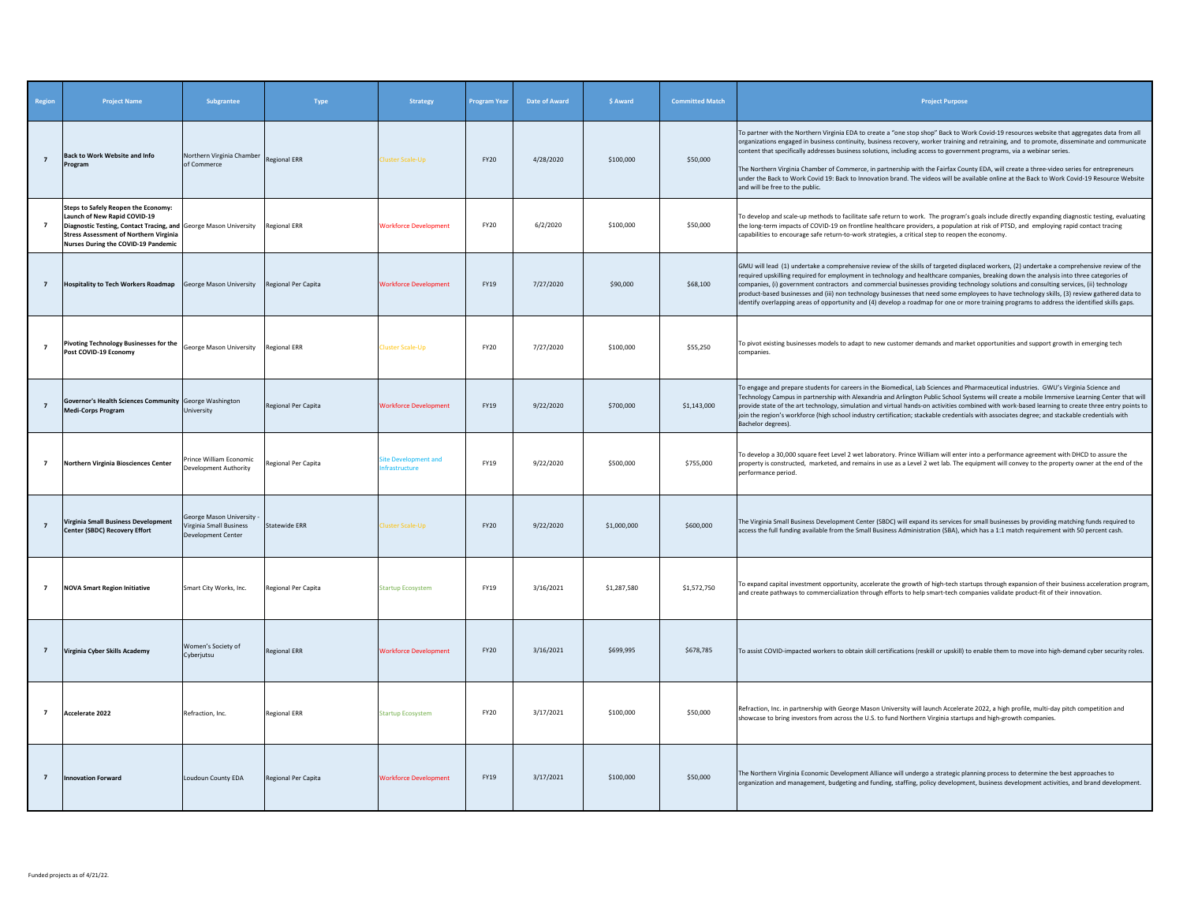| Region         | <b>Project Name</b>                                                                                                                                                                                                                          | Subgrantee                                                                 | Type                 | <b>Strategy</b>                     | <b>Program Year</b> | Date of Award | \$ Award    | <b>Committed Match</b> | <b>Project Purpose</b>                                                                                                                                                                                                                                                                                                                                                                                                                                                                                                                                                                                                                                                                                                                                |
|----------------|----------------------------------------------------------------------------------------------------------------------------------------------------------------------------------------------------------------------------------------------|----------------------------------------------------------------------------|----------------------|-------------------------------------|---------------------|---------------|-------------|------------------------|-------------------------------------------------------------------------------------------------------------------------------------------------------------------------------------------------------------------------------------------------------------------------------------------------------------------------------------------------------------------------------------------------------------------------------------------------------------------------------------------------------------------------------------------------------------------------------------------------------------------------------------------------------------------------------------------------------------------------------------------------------|
| $\overline{z}$ | <b>Back to Work Website and Info</b><br>Program                                                                                                                                                                                              | Northern Virginia Chamber<br>of Commerce                                   | <b>Regional ERR</b>  | luster Scale-Un                     | <b>FY20</b>         | 4/28/2020     | \$100,000   | \$50,000               | To partner with the Northern Virginia EDA to create a "one stop shop" Back to Work Covid-19 resources website that aggregates data from all<br>organizations engaged in business continuity, business recovery, worker training and retraining, and to promote, disseminate and communicate<br>content that specifically addresses business solutions, including access to government programs, via a webinar series.<br>The Northern Virginia Chamber of Commerce, in partnership with the Fairfax County EDA, will create a three-video series for entrepreneurs<br>under the Back to Work Covid 19: Back to Innovation brand. The videos will be available online at the Back to Work Covid-19 Resource Website<br>and will be free to the public. |
| $\overline{7}$ | Steps to Safely Reopen the Economy:<br>Launch of New Rapid COVID-19<br>Diagnostic Testing, Contact Tracing, and George Mason University Regional ERR<br><b>Stress Assessment of Northern Virginia</b><br>Nurses During the COVID-19 Pandemic |                                                                            |                      | <b>Norkforce Development</b>        | <b>FY20</b>         | 6/2/2020      | \$100,000   | \$50,000               | To develop and scale-up methods to facilitate safe return to work. The program's goals include directly expanding diagnostic testing, evaluating<br>the long-term impacts of COVID-19 on frontline healthcare providers, a population at risk of PTSD, and employing rapid contact tracing<br>capabilities to encourage safe return-to-work strategies, a critical step to reopen the economy.                                                                                                                                                                                                                                                                                                                                                        |
| $\overline{7}$ | Hospitality to Tech Workers Roadmap George Mason University Regional Per Capita                                                                                                                                                              |                                                                            |                      | <b>Workforce Development</b>        | FY19                | 7/27/2020     | \$90,000    | \$68,100               | GMU will lead (1) undertake a comprehensive review of the skills of targeted displaced workers, (2) undertake a comprehensive review of the<br>required upskilling required for employment in technology and healthcare companies, breaking down the analysis into three categories of<br>companies, (i) government contractors and commercial businesses providing technology solutions and consulting services, (ii) technology<br>oroduct-based businesses and (iii) non technology businesses that need some employees to have technology skills, (3) review gathered data to<br>identify overlapping areas of opportunity and (4) develop a roadmap for one or more training programs to address the identified skills gaps.                     |
| $\overline{7}$ | Pivoting Technology Businesses for the<br>Post COVID-19 Economy                                                                                                                                                                              | George Mason University                                                    | <b>Regional ERR</b>  | luster Scale-Up                     | <b>FY20</b>         | 7/27/2020     | \$100,000   | \$55,250               | To pivot existing businesses models to adapt to new customer demands and market opportunities and support growth in emerging tech<br>companies.                                                                                                                                                                                                                                                                                                                                                                                                                                                                                                                                                                                                       |
| $\overline{7}$ | Governor's Health Sciences Community George Washington<br><b>Medi-Corps Program</b>                                                                                                                                                          | University                                                                 | Regional Per Capita  | <b>Workforce Development</b>        | FY19                | 9/22/2020     | \$700,000   | \$1,143,000            | To engage and prepare students for careers in the Biomedical, Lab Sciences and Pharmaceutical industries. GWU's Virginia Science and<br>Technology Campus in partnership with Alexandria and Arlington Public School Systems will create a mobile Immersive Learning Center that will<br>provide state of the art technology, simulation and virtual hands-on activities combined with work-based learning to create three entry points to<br>join the region's workforce (high school industry certification; stackable credentials with associates degree; and stackable credentials with<br>Bachelor degrees).                                                                                                                                     |
| $\overline{7}$ | Northern Virginia Biosciences Center                                                                                                                                                                                                         | Prince William Economic<br>evelopment Authority                            | Regional Per Capita  | ite Development and<br>frastructure | FY19                | 9/22/2020     | \$500,000   | \$755,000              | To develop a 30,000 square feet Level 2 wet laboratory. Prince William will enter into a performance agreement with DHCD to assure the<br>property is constructed, marketed, and remains in use as a Level 2 wet lab. The equipment will convey to the property owner at the end of the<br>performance period.                                                                                                                                                                                                                                                                                                                                                                                                                                        |
| $\overline{7}$ | Virginia Small Business Development<br><b>Center (SBDC) Recovery Effort</b>                                                                                                                                                                  | George Mason University -<br>Virginia Small Business<br>Development Center | <b>Statewide ERR</b> | luster Scale-Up                     | <b>FY20</b>         | 9/22/2020     | \$1,000,000 | \$600,000              | The Virginia Small Business Development Center (SBDC) will expand its services for small businesses by providing matching funds required to<br>access the full funding available from the Small Business Administration (SBA), which has a 1:1 match requirement with 50 percent cash.                                                                                                                                                                                                                                                                                                                                                                                                                                                                |
| $\overline{7}$ | <b>NOVA Smart Region Initiative</b>                                                                                                                                                                                                          | Smart City Works, Inc.                                                     | Regional Per Capita  | <b>Startup Ecosystem</b>            | FY19                | 3/16/2021     | \$1,287,580 | \$1,572,750            | To expand capital investment opportunity, accelerate the growth of high-tech startups through expansion of their business acceleration program,<br>and create pathways to commercialization through efforts to help smart-tech companies validate product-fit of their innovation.                                                                                                                                                                                                                                                                                                                                                                                                                                                                    |
| $\overline{7}$ | Virginia Cyber Skills Academy                                                                                                                                                                                                                | Women's Society of<br>Cyberjutsu                                           | <b>Regional ERR</b>  | <b>Workforce Development</b>        | <b>FY20</b>         | 3/16/2021     | \$699,995   | \$678,785              | To assist COVID-impacted workers to obtain skill certifications (reskill or upskill) to enable them to move into high-demand cyber security roles.                                                                                                                                                                                                                                                                                                                                                                                                                                                                                                                                                                                                    |
| $\overline{7}$ | Accelerate 2022                                                                                                                                                                                                                              | Refraction, Inc.                                                           | <b>Regional ERR</b>  | <b>Startup Ecosystem</b>            | <b>FY20</b>         | 3/17/2021     | \$100,000   | \$50,000               | Refraction, Inc. in partnership with George Mason University will launch Accelerate 2022, a high profile, multi-day pitch competition and<br>showcase to bring investors from across the U.S. to fund Northern Virginia startups and high-growth companies.                                                                                                                                                                                                                                                                                                                                                                                                                                                                                           |
| $\overline{7}$ | <b>Innovation Forward</b>                                                                                                                                                                                                                    | Loudoun County EDA                                                         | Regional Per Capita  | <b>Workforce Development</b>        | <b>FY19</b>         | 3/17/2021     | \$100,000   | \$50,000               | The Northern Virginia Economic Development Alliance will undergo a strategic planning process to determine the best approaches to<br>organization and management, budgeting and funding, staffing, policy development, business development activities, and brand development.                                                                                                                                                                                                                                                                                                                                                                                                                                                                        |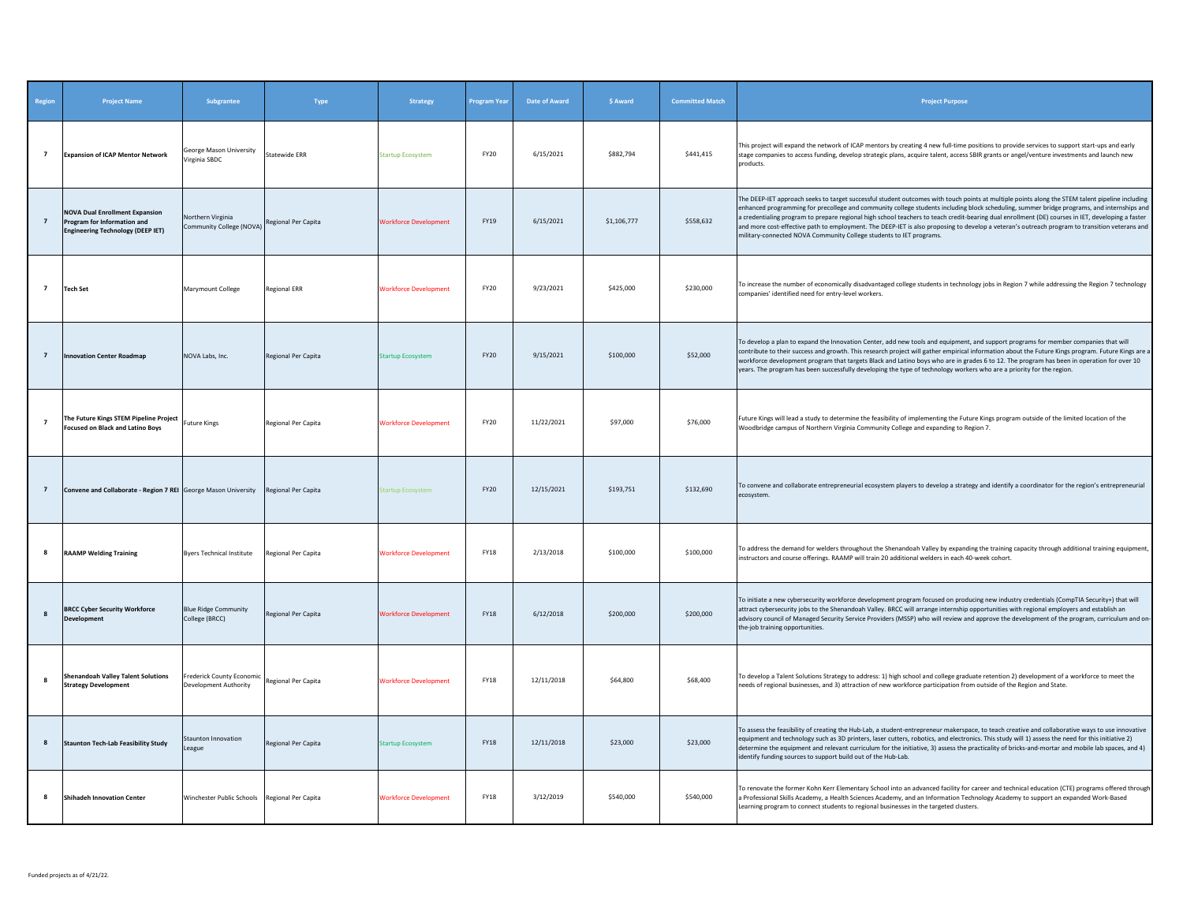| Region         | <b>Project Name</b>                                                                                              | Subgrantee                                                             | Type                 | Strategy                     | <b>Program Year</b> | <b>Date of Award</b> | \$ Award    | <b>Committed Match</b> | <b>Project Purpose</b>                                                                                                                                                                                                                                                                                                                                                                                                                                                                                                                                                                                                                                                    |
|----------------|------------------------------------------------------------------------------------------------------------------|------------------------------------------------------------------------|----------------------|------------------------------|---------------------|----------------------|-------------|------------------------|---------------------------------------------------------------------------------------------------------------------------------------------------------------------------------------------------------------------------------------------------------------------------------------------------------------------------------------------------------------------------------------------------------------------------------------------------------------------------------------------------------------------------------------------------------------------------------------------------------------------------------------------------------------------------|
| $\overline{7}$ | <b>Expansion of ICAP Mentor Network</b>                                                                          | George Mason University<br>Virginia SBDC                               | <b>Statewide ERR</b> | <b>Startup Ecosystem</b>     | <b>FY20</b>         | 6/15/2021            | \$882,794   | \$441,415              | This project will expand the network of ICAP mentors by creating 4 new full-time positions to provide services to support start-ups and early<br>stage companies to access funding, develop strategic plans, acquire talent, access SBIR grants or angel/venture investments and launch new<br>products.                                                                                                                                                                                                                                                                                                                                                                  |
| $\overline{7}$ | <b>NOVA Dual Enrollment Expansion</b><br>Program for Information and<br><b>Engineering Technology (DEEP IET)</b> | Northern Virginia<br>Community College (NOVA) Regional Per Capita      |                      | <b>Workforce Development</b> | FY19                | 6/15/2021            | \$1,106,777 | \$558,632              | The DEEP-IET approach seeks to target successful student outcomes with touch points at multiple points along the STEM talent pipeline including<br>enhanced programming for precollege and community college students including block scheduling, summer bridge programs, and internships and<br>acredentialing program to prepare regional high school teachers to teach credit-bearing dual enrollment (DE) courses in IET, developing a faster<br>and more cost-effective path to employment. The DEEP-IET is also proposing to develop a veteran's outreach program to transition veterans and<br>military-connected NOVA Community College students to IET programs. |
| $\overline{7}$ | <b>Tech Set</b>                                                                                                  | Marymount College                                                      | <b>Regional ERR</b>  | <b>Workforce Development</b> | <b>FY20</b>         | 9/23/2021            | \$425,000   | \$230,000              | To increase the number of economically disadvantaged college students in technology jobs in Region 7 while addressing the Region 7 technology<br>companies' identified need for entry-level workers.                                                                                                                                                                                                                                                                                                                                                                                                                                                                      |
| $\overline{7}$ | <b>Innovation Center Roadmap</b>                                                                                 | NOVA Labs, Inc.                                                        | Regional Per Capita  | <b>Startup Ecosystem</b>     | <b>FY20</b>         | 9/15/2021            | \$100,000   | \$52,000               | To develop a plan to expand the Innovation Center, add new tools and equipment, and support programs for member companies that will<br>contribute to their success and growth. This research project will gather empirical information about the Future Kings program. Future Kings are a<br>workforce development program that targets Black and Latino boys who are in grades 6 to 12. The program has been in operation for over 10<br>years. The program has been successfully developing the type of technology workers who are a priority for the region.                                                                                                           |
| $\overline{7}$ | The Future Kings STEM Pipeline Project<br><b>Focused on Black and Latino Boys</b>                                | <b>Future Kings</b>                                                    | Regional Per Capita  | <b>Workforce Development</b> | <b>FY20</b>         | 11/22/2021           | \$97,000    | \$76,000               | Future Kings will lead a study to determine the feasibility of implementing the Future Kings program outside of the limited location of the<br>Woodbridge campus of Northern Virginia Community College and expanding to Region 7.                                                                                                                                                                                                                                                                                                                                                                                                                                        |
| $\overline{7}$ | Convene and Collaborate - Region 7 REI George Mason University                                                   |                                                                        | Regional Per Capita  | <b>itartup Ecosystem</b>     | FY20                | 12/15/2021           | \$193,751   | \$132,690              | To convene and collaborate entrepreneurial ecosystem players to develop a strategy and identify a coordinator for the region's entrepreneurial<br>ecosystem.                                                                                                                                                                                                                                                                                                                                                                                                                                                                                                              |
| 8              | <b>RAAMP Welding Training</b>                                                                                    | <b>Byers Technical Institute</b>                                       | Regional Per Capita  | <b>Workforce Development</b> | <b>FY18</b>         | 2/13/2018            | \$100,000   | \$100,000              | To address the demand for welders throughout the Shenandoah Valley by expanding the training capacity through additional training equipment,<br>instructors and course offerings. RAAMP will train 20 additional welders in each 40-week cohort.                                                                                                                                                                                                                                                                                                                                                                                                                          |
| 8              | <b>BRCC Cyber Security Workforce</b><br>Development                                                              | <b>Blue Ridge Community</b><br>College (BRCC)                          | Regional Per Capita  | <b>Workforce Development</b> | <b>FY18</b>         | 6/12/2018            | \$200,000   | \$200,000              | To initiate a new cybersecurity workforce development program focused on producing new industry credentials (CompTIA Security+) that will<br>attract cybersecurity jobs to the Shenandoah Valley. BRCC will arrange internship opportunities with regional employers and establish an<br>advisory council of Managed Security Service Providers (MSSP) who will review and approve the development of the program, curriculum and on-<br>the-job training opportunities.                                                                                                                                                                                                  |
| 8              | <b>Shenandoah Valley Talent Solutions</b><br><b>Strategy Development</b>                                         | Frederick County Economic Regional Per Capita<br>Development Authority |                      | <b>Workforce Development</b> | <b>FY18</b>         | 12/11/2018           | \$64,800    | \$68,400               | To develop a Talent Solutions Strategy to address: 1) high school and college graduate retention 2) development of a workforce to meet the<br>needs of regional businesses, and 3) attraction of new workforce participation from outside of the Region and State.                                                                                                                                                                                                                                                                                                                                                                                                        |
| 8              | <b>Staunton Tech-Lab Feasibility Study</b>                                                                       | Staunton Innovation<br>League                                          | Regional Per Capita  | <b>Startup Ecosystem</b>     | <b>FY18</b>         | 12/11/2018           | \$23,000    | \$23,000               | To assess the feasibility of creating the Hub-Lab, a student-entrepreneur makerspace, to teach creative and collaborative ways to use innovative<br>equipment and technology such as 3D printers, laser cutters, robotics, and electronics. This study will 1) assess the need for this initiative 2)<br>determine the equipment and relevant curriculum for the initiative, 3) assess the practicality of bricks-and-mortar and mobile lab spaces, and 4)<br>identify funding sources to support build out of the Hub-Lab.                                                                                                                                               |
| 8              | <b>Shihadeh Innovation Center</b>                                                                                | Winchester Public Schools Regional Per Capita                          |                      | <b>Workforce Development</b> | <b>FY18</b>         | 3/12/2019            | \$540,000   | \$540,000              | To renovate the former Kohn Kerr Elementary School into an advanced facility for career and technical education (CTE) programs offered through<br>a Professional Skills Academy, a Health Sciences Academy, and an Information Technology Academy to support an expanded Work-Based<br>earning program to connect students to regional businesses in the targeted clusters.                                                                                                                                                                                                                                                                                               |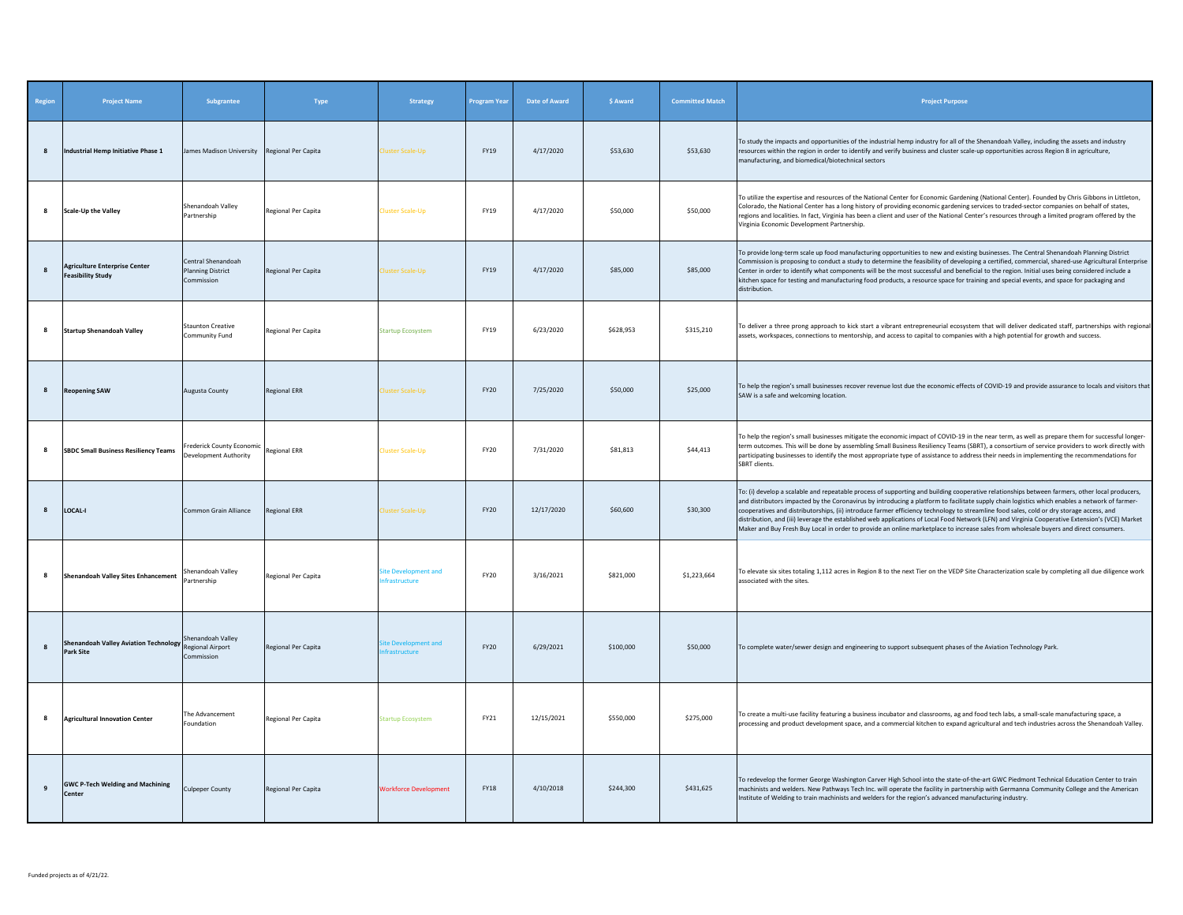| Region         | <b>Project Name</b>                                              | Subgrantee                                                   | Type                | Strategy                                    | <b>Program Year</b> | <b>Date of Award</b> | \$ Award  | <b>Committed Match</b> | <b>Project Purpose</b>                                                                                                                                                                                                                                                                                                                                                                                                                                                                                                                                                                                                                                                                                                                   |
|----------------|------------------------------------------------------------------|--------------------------------------------------------------|---------------------|---------------------------------------------|---------------------|----------------------|-----------|------------------------|------------------------------------------------------------------------------------------------------------------------------------------------------------------------------------------------------------------------------------------------------------------------------------------------------------------------------------------------------------------------------------------------------------------------------------------------------------------------------------------------------------------------------------------------------------------------------------------------------------------------------------------------------------------------------------------------------------------------------------------|
| 8              | Industrial Hemp Initiative Phase 1                               | James Madison University Regional Per Capita                 |                     | luster Scale-Up                             | FY19                | 4/17/2020            | \$53,630  | \$53,630               | To study the impacts and opportunities of the industrial hemp industry for all of the Shenandoah Valley, including the assets and industry<br>resources within the region in order to identify and verify business and cluster scale-up opportunities across Region 8 in agriculture,<br>manufacturing, and biomedical/biotechnical sectors                                                                                                                                                                                                                                                                                                                                                                                              |
| 8              | Scale-Up the Valley                                              | Shenandoah Valley<br>Partnership                             | Regional Per Capita | luster Scale-Up                             | FY19                | 4/17/2020            | \$50,000  | \$50,000               | To utilize the expertise and resources of the National Center for Economic Gardening (National Center). Founded by Chris Gibbons in Littleton,<br>Colorado, the National Center has a long history of providing economic gardening services to traded-sector companies on behalf of states.<br>regions and localities. In fact, Virginia has been a client and user of the National Center's resources through a limited program offered by the<br>Virginia Economic Development Partnership.                                                                                                                                                                                                                                            |
| $\mathbf{g}$   | <b>Agriculture Enterprise Center</b><br><b>Feasibility Study</b> | Central Shenandoah<br><b>Planning District</b><br>Commission | Regional Per Capita | luster Scale-Un                             | FY19                | 4/17/2020            | \$85,000  | \$85,000               | To provide long-term scale up food manufacturing opportunities to new and existing businesses. The Central Shenandoah Planning District<br>Commission is proposing to conduct a study to determine the feasibility of developing a certified, commercial, shared-use Agricultural Enterprise<br>Center in order to identify what components will be the most successful and beneficial to the region. Initial uses being considered include a<br>kitchen space for testing and manufacturing food products, a resource space for training and special events, and space for packaging and<br>distribution.                                                                                                                               |
| 8              | <b>Startup Shenandoah Valley</b>                                 | <b>Staunton Creative</b><br>Community Fund                   | Regional Per Capita | Startup Ecosystem                           | FY19                | 6/23/2020            | \$628,953 | \$315,210              | To deliver a three prong approach to kick start a vibrant entrepreneurial ecosystem that will deliver dedicated staff, partnerships with regional<br>assets, workspaces, connections to mentorship, and access to capital to companies with a high potential for growth and success.                                                                                                                                                                                                                                                                                                                                                                                                                                                     |
| 8              | <b>Reopening SAW</b>                                             | Augusta County                                               | <b>Regional ERR</b> | luster Scale-Up                             | <b>FY20</b>         | 7/25/2020            | \$50,000  | \$25,000               | To help the region's small businesses recover revenue lost due the economic effects of COVID-19 and provide assurance to locals and visitors that<br>SAW is a safe and welcoming location.                                                                                                                                                                                                                                                                                                                                                                                                                                                                                                                                               |
| 8              | <b>SBDC Small Business Resiliency Teams</b>                      | Frederick County Economic<br>Development Authority           | <b>Regional ERR</b> | luster Scale-Up                             | <b>FY20</b>         | 7/31/2020            | \$81,813  | \$44,413               | To help the region's small businesses mitigate the economic impact of COVID-19 in the near term, as well as prepare them for successful longer-<br>term outcomes. This will be done by assembling Small Business Resiliency Teams (SBRT), a consortium of service providers to work directly with<br>participating businesses to identify the most appropriate type of assistance to address their needs in implementing the recommendations for<br>SBRT clients.                                                                                                                                                                                                                                                                        |
| $\mathbf{g}$   | LOCAL-I                                                          | Common Grain Alliance                                        | <b>Regional FRR</b> | luster Scale-Up                             | <b>FY20</b>         | 12/17/2020           | \$60,600  | \$30,300               | To: (i) develop a scalable and repeatable process of supporting and building cooperative relationships between farmers, other local producers,<br>and distributors impacted by the Coronavirus by introducing a platform to facilitate supply chain logistics which enables a network of farmer-<br>cooperatives and distributorships, (ii) introduce farmer efficiency technology to streamline food sales, cold or dry storage access, and<br>distribution, and (iii) leverage the established web applications of Local Food Network (LFN) and Virginia Cooperative Extension's (VCE) Market<br>Maker and Buy Fresh Buy Local in order to provide an online marketplace to increase sales from wholesale buyers and direct consumers. |
| 8              | Shenandoah Valley Sites Enhancement                              | Shenandoah Vallev<br>Partnership                             | Regional Per Capita | ite Development and<br><b>ifrastructure</b> | <b>FY20</b>         | 3/16/2021            | \$821,000 | \$1,223,664            | To elevate six sites totaling 1,112 acres in Region 8 to the next Tier on the VEDP Site Characterization scale by completing all due diligence work<br>associated with the sites.                                                                                                                                                                                                                                                                                                                                                                                                                                                                                                                                                        |
| 8              | <b>Shenandoah Valley Aviation Technology</b><br><b>Park Site</b> | Shenandoah Valley<br>Regional Airport<br>Commission          | Regional Per Capita | te Development and<br>frastructure          | <b>FY20</b>         | 6/29/2021            | \$100,000 | \$50,000               | To complete water/sewer design and engineering to support subsequent phases of the Aviation Technology Park.                                                                                                                                                                                                                                                                                                                                                                                                                                                                                                                                                                                                                             |
|                | <b>Agricultural Innovation Center</b>                            | The Advancement<br>Foundation                                | Regional Per Capita | <b>Startup Ecosystem</b>                    | FY21                | 12/15/2021           | \$550,000 | \$275,000              | To create a multi-use facility featuring a business incubator and classrooms, ag and food tech labs, a small-scale manufacturing space, a<br>processing and product development space, and a commercial kitchen to expand agricultural and tech industries across the Shenandoah Valley.                                                                                                                                                                                                                                                                                                                                                                                                                                                 |
| $\overline{9}$ | <b>GWC P-Tech Welding and Machining</b><br>Center                | <b>Culpeper County</b>                                       | Regional Per Capita | <b>Workforce Development</b>                | <b>FY18</b>         | 4/10/2018            | \$244,300 | \$431,625              | To redevelop the former George Washington Carver High School into the state-of-the-art GWC Piedmont Technical Education Center to train<br>machinists and welders. New Pathways Tech Inc. will operate the facility in partnership with Germanna Community College and the American<br>Institute of Welding to train machinists and welders for the region's advanced manufacturing industry.                                                                                                                                                                                                                                                                                                                                            |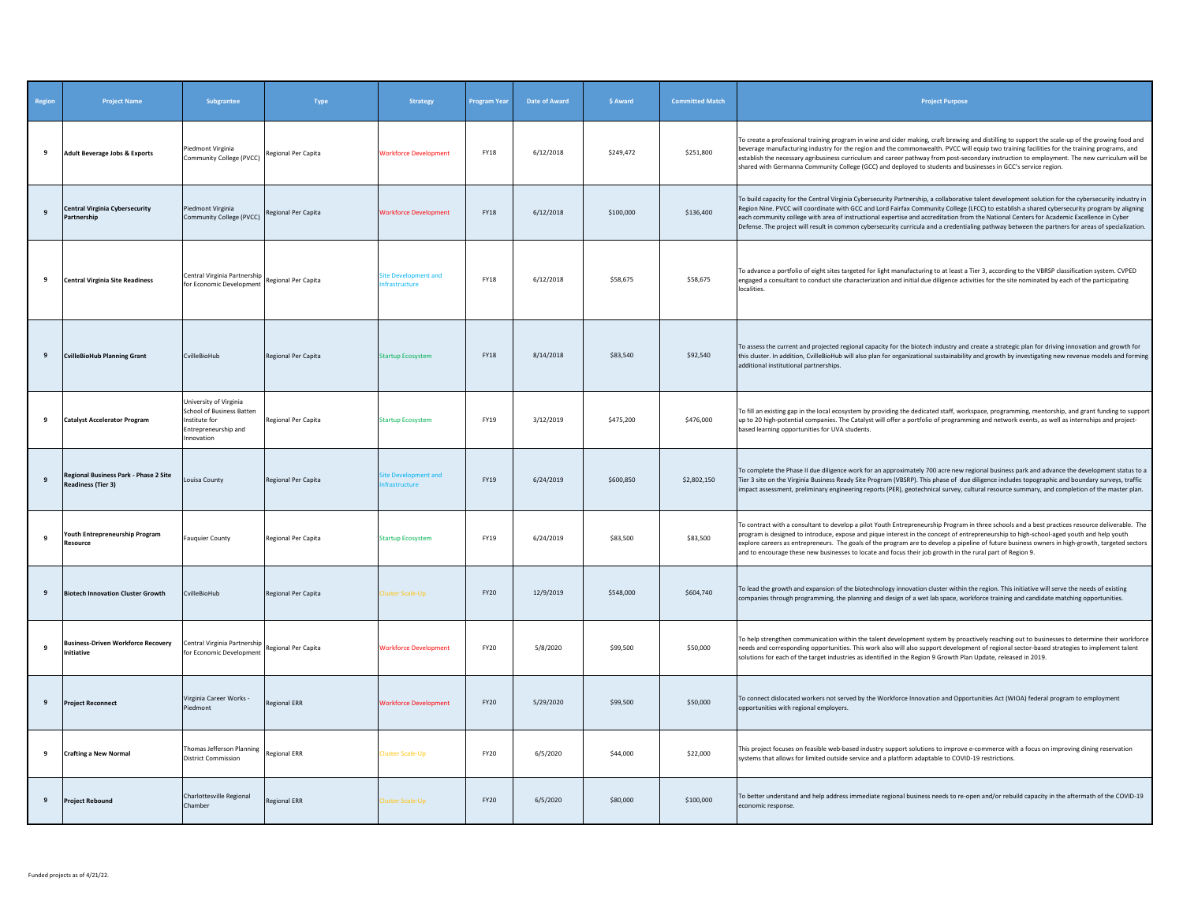| Region | <b>Project Name</b>                                                | Subgrantee                                                                                                | Type                | Strategy                                    | Program Year | <b>Date of Award</b> | \$ Award  | <b>Committed Match</b> | <b>Project Purpose</b>                                                                                                                                                                                                                                                                                                                                                                                                                                                                                                                                                                              |
|--------|--------------------------------------------------------------------|-----------------------------------------------------------------------------------------------------------|---------------------|---------------------------------------------|--------------|----------------------|-----------|------------------------|-----------------------------------------------------------------------------------------------------------------------------------------------------------------------------------------------------------------------------------------------------------------------------------------------------------------------------------------------------------------------------------------------------------------------------------------------------------------------------------------------------------------------------------------------------------------------------------------------------|
| 9      | <b>Adult Beverage Jobs &amp; Exports</b>                           | Piedmont Virginia<br>Community College (PVCC)                                                             | Regional Per Capita | <b>Workforce Development</b>                | <b>FY18</b>  | 6/12/2018            | \$249,472 | \$251,800              | To create a professional training program in wine and cider making, craft brewing and distilling to support the scale-up of the growing food and<br>beverage manufacturing industry for the region and the commonwealth. PVCC will equip two training facilities for the training programs, and<br>establish the necessary agribusiness curriculum and career pathway from post-secondary instruction to employment. The new curriculum will be<br>shared with Germanna Community College (GCC) and deployed to students and businesses in GCC's service region.                                    |
| 9      | <b>Central Virginia Cybersecurity</b><br>Partnership               | Piedmont Virginia<br>Community College (PVCC) Regional Per Capita                                         |                     | <b>Workforce Development</b>                | <b>FY18</b>  | 6/12/2018            | \$100,000 | \$136,400              | To build capacity for the Central Virginia Cybersecurity Partnership, a collaborative talent development solution for the cybersecurity industry in<br>Region Nine. PVCC will coordinate with GCC and Lord Fairfax Community College (LFCC) to establish a shared cybersecurity program by aligning<br>each community college with area of instructional expertise and accreditation from the National Centers for Academic Excellence in Cyber<br>Defense. The project will result in common cybersecurity curricula and a credentialing pathway between the partners for areas of specialization. |
| 9      | <b>Central Virginia Site Readiness</b>                             | Central Virginia Partnership<br>for Economic Development                                                  | Regional Per Capita | ite Development and<br><b>nfrastructure</b> | <b>FY18</b>  | 6/12/2018            | \$58,675  | \$58,675               | To advance a portfolio of eight sites targeted for light manufacturing to at least a Tier 3, according to the VBRSP classification system. CVPED<br>engaged a consultant to conduct site characterization and initial due diligence activities for the site nominated by each of the participating<br>localities.                                                                                                                                                                                                                                                                                   |
| 9      | <b>CvilleBioHub Planning Grant</b>                                 | CvilleBioHub                                                                                              | Regional Per Capita | <b>Startup Ecosystem</b>                    | <b>FY18</b>  | 8/14/2018            | \$83,540  | \$92,540               | To assess the current and projected regional capacity for the biotech industry and create a strategic plan for driving innovation and growth for<br>this cluster. In addition, CvilleBioHub will also plan for organizational sustainability and growth by investigating new revenue models and forming<br>additional institutional partnerships.                                                                                                                                                                                                                                                   |
| 9      | <b>Catalyst Accelerator Program</b>                                | University of Virginia<br>School of Business Batten<br>nstitute for<br>Entrepreneurship and<br>Innovation | Regional Per Capita | <b>Startup Ecosystem</b>                    | FY19         | 3/12/2019            | \$475,200 | \$476,000              | To fill an existing gap in the local ecosystem by providing the dedicated staff, workspace, programming, mentorship, and grant funding to support<br>up to 20 high-potential companies. The Catalyst will offer a portfolio of programming and network events, as well as internships and project-<br>based learning opportunities for UVA students.                                                                                                                                                                                                                                                |
| 9      | Regional Business Park - Phase 2 Site<br><b>Readiness (Tier 3)</b> | Louisa County                                                                                             | Regional Per Capita | te Develo<br>nent and<br>frastructure       | <b>FY19</b>  | 6/24/2019            | \$600,850 | \$2,802,150            | To complete the Phase II due diligence work for an approximately 700 acre new regional business park and advance the development status to a<br>Tier 3 site on the Virginia Business Ready Site Program (VBSRP). This phase of due diligence includes topographic and boundary surveys, traffic<br>impact assessment, preliminary engineering reports (PER), geotechnical survey, cultural resource summary, and completion of the master plan.                                                                                                                                                     |
| 9      | Youth Entrepreneurship Program<br>Resource                         | <b>Fauquier County</b>                                                                                    | Regional Per Capita | <b>Startup Ecosystem</b>                    | FY19         | 6/24/2019            | \$83,500  | \$83,500               | To contract with a consultant to develop a pilot Youth Entrepreneurship Program in three schools and a best practices resource deliverable. The<br>program is designed to introduce, expose and pique interest in the concept of entrepreneurship to high-school-aged youth and help youth<br>explore careers as entrepreneurs. The goals of the program are to develop a pipeline of future business owners in high-growth, targeted sectors<br>and to encourage these new businesses to locate and focus their job growth in the rural part of Region 9.                                          |
| 9      | <b>Biotech Innovation Cluster Growth</b>                           | CvilleBioHub                                                                                              | Regional Per Capita | luster Scale-Up                             | <b>FY20</b>  | 12/9/2019            | \$548,000 | \$604,740              | To lead the growth and expansion of the biotechnology innovation cluster within the region. This initiative will serve the needs of existing<br>companies through programming, the planning and design of a wet lab space, workforce training and candidate matching opportunities.                                                                                                                                                                                                                                                                                                                 |
| 9      | <b>Business-Driven Workforce Recovery</b><br>Initiative            | Central Virginia Partnership<br>for Economic Development                                                  | Regional Per Capita | <b>Workforce Development</b>                | <b>FY20</b>  | 5/8/2020             | \$99,500  | \$50,000               | To help strengthen communication within the talent development system by proactively reaching out to businesses to determine their workforce<br>needs and corresponding opportunities. This work also will also support development of regional sector-based strategies to implement talent<br>solutions for each of the target industries as identified in the Region 9 Growth Plan Update, released in 2019.                                                                                                                                                                                      |
| 9      | <b>Project Reconnect</b>                                           | Virginia Career Works -<br>Piedmont                                                                       | <b>Regional ERR</b> | <b>Workforce Development</b>                | <b>FY20</b>  | 5/29/2020            | \$99,500  | \$50,000               | To connect dislocated workers not served by the Workforce Innovation and Opportunities Act (WIOA) federal program to employment<br>opportunities with regional employers.                                                                                                                                                                                                                                                                                                                                                                                                                           |
| 9      | <b>Crafting a New Normal</b>                                       | Thomas Jefferson Planning<br><b>District Commission</b>                                                   | Regional ERR        | Cluster Scale-Up                            | <b>FY20</b>  | 6/5/2020             | \$44,000  | \$22,000               | This project focuses on feasible web-based industry support solutions to improve e-commerce with a focus on improving dining reservation<br>systems that allows for limited outside service and a platform adaptable to COVID-19 restrictions.                                                                                                                                                                                                                                                                                                                                                      |
| 9      | <b>Project Rebound</b>                                             | Charlottesville Regional<br>Chamber                                                                       | <b>Regional ERR</b> | luster Scale-Up                             | <b>FY20</b>  | 6/5/2020             | \$80,000  | \$100,000              | To better understand and help address immediate regional business needs to re-open and/or rebuild capacity in the aftermath of the COVID-19<br>economic response.                                                                                                                                                                                                                                                                                                                                                                                                                                   |